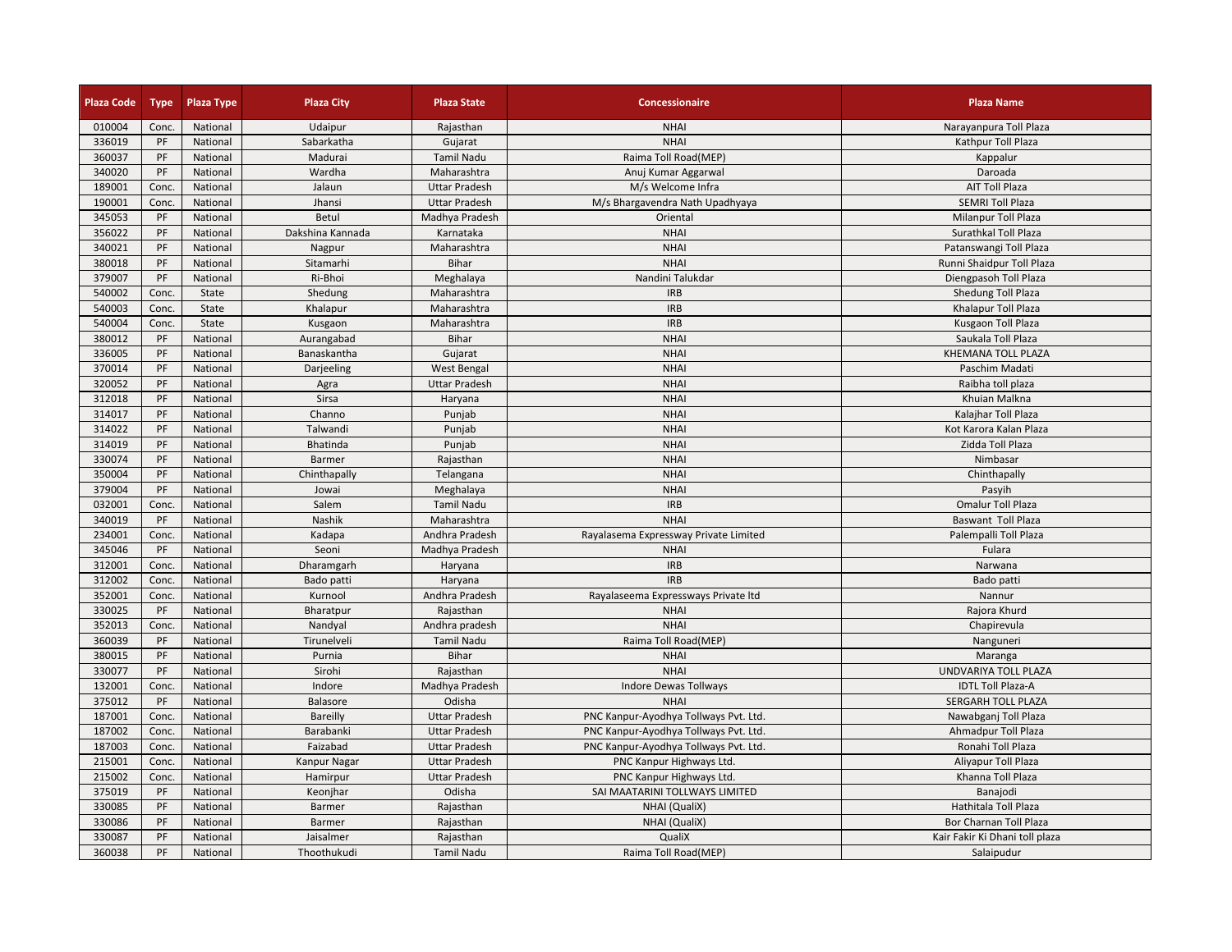| <b>Plaza Code</b> | <b>Type</b> | Plaza Type           | <b>Plaza City</b>    | <b>Plaza State</b>   | Concessionaire                        | <b>Plaza Name</b>              |
|-------------------|-------------|----------------------|----------------------|----------------------|---------------------------------------|--------------------------------|
| 010004            | Conc.       | National             | Udaipur              | Rajasthan            | <b>NHAI</b>                           | Narayanpura Toll Plaza         |
| 336019            | PF          | National             | Sabarkatha           | Gujarat              | <b>NHAI</b>                           | Kathpur Toll Plaza             |
| 360037            | PF          | National             | Madurai              | <b>Tamil Nadu</b>    | Raima Toll Road(MEP)                  | Kappalur                       |
| 340020            | PF          | National             | Wardha               | Maharashtra          | Anuj Kumar Aggarwal                   | Daroada                        |
| 189001            | Conc.       | National             | Jalaun               | <b>Uttar Pradesh</b> | M/s Welcome Infra                     | <b>AIT Toll Plaza</b>          |
| 190001            | Conc.       | National             | Jhansi               | <b>Uttar Pradesh</b> | M/s Bhargavendra Nath Upadhyaya       | <b>SEMRI Toll Plaza</b>        |
| 345053            | PF          | National             | Betul                | Madhya Pradesh       | Oriental                              | Milanpur Toll Plaza            |
| 356022            | PF          | National             | Dakshina Kannada     | Karnataka            | <b>NHAI</b>                           | Surathkal Toll Plaza           |
| 340021            | PF          | National             | Nagpur               | Maharashtra          | <b>NHAI</b>                           | Patanswangi Toll Plaza         |
| 380018            | PF          | National             | Sitamarhi            | Bihar                | <b>NHAI</b>                           | Runni Shaidpur Toll Plaza      |
| 379007            | PF          | National             | Ri-Bhoi              | Meghalaya            | Nandini Talukdar                      | Diengpasoh Toll Plaza          |
| 540002            | Conc.       | State                | Shedung              | Maharashtra          | <b>IRB</b>                            | Shedung Toll Plaza             |
| 540003            | Conc.       | State                | Khalapur             | Maharashtra          | <b>IRB</b>                            | Khalapur Toll Plaza            |
| 540004            | Conc.       | State                | Kusgaon              | Maharashtra          | <b>IRB</b>                            | Kusgaon Toll Plaza             |
| 380012            | PF          | National             | Aurangabad           | Bihar                | <b>NHAI</b>                           | Saukala Toll Plaza             |
| 336005            | PF          | National             | Banaskantha          | Gujarat              | <b>NHAI</b>                           | KHEMANA TOLL PLAZA             |
| 370014            | PF          | National             | Darjeeling           | <b>West Bengal</b>   | <b>NHAI</b>                           | Paschim Madati                 |
| 320052            | PF          | National             | Agra                 | <b>Uttar Pradesh</b> | <b>NHAI</b>                           | Raibha toll plaza              |
| 312018            | PF          | National             | Sirsa                | Haryana              | <b>NHAI</b>                           | Khuian Malkna                  |
| 314017            | PF          | National             | Channo               | Punjab               | <b>NHAI</b>                           | Kalajhar Toll Plaza            |
| 314022            | PF          | National             | Talwandi             | Punjab               | <b>NHAI</b>                           | Kot Karora Kalan Plaza         |
| 314019            | PF          | National             | Bhatinda             | Punjab               | <b>NHAI</b>                           | Zidda Toll Plaza               |
| 330074            | PF          | National             | Barmer               | Rajasthan            | <b>NHAI</b>                           | Nimbasar                       |
| 350004            | PF          | National             | Chinthapally         | Telangana            | <b>NHAI</b>                           | Chinthapally                   |
| 379004            | PF          | National             | Jowai                | Meghalaya            | <b>NHAI</b>                           | Pasyih                         |
| 032001            | Conc.       | National             | Salem                | <b>Tamil Nadu</b>    | <b>IRB</b>                            | Omalur Toll Plaza              |
| 340019            | PF          | National             | Nashik               | Maharashtra          | <b>NHAI</b>                           | Baswant Toll Plaza             |
| 234001            | Conc.       | National             | Kadapa               | Andhra Pradesh       | Rayalasema Expressway Private Limited | Palempalli Toll Plaza          |
| 345046            | PF          | National             | Seoni                | Madhya Pradesh       | <b>NHAI</b>                           | Fulara                         |
| 312001            | Conc.       | National             | Dharamgarh           | Haryana              | <b>IRB</b>                            | Narwana                        |
| 312002            | Conc.       | National             | Bado patti           | Haryana              | <b>IRB</b>                            | Bado patti                     |
| 352001            | Conc.       | National             |                      | Andhra Pradesh       | Rayalaseema Expressways Private Itd   |                                |
| 330025            | PF          | National             | Kurnool<br>Bharatpur | Rajasthan            | <b>NHAI</b>                           | Nannur                         |
| 352013            | Conc.       |                      | Nandyal              | Andhra pradesh       | <b>NHAI</b>                           | Rajora Khurd<br>Chapirevula    |
| 360039            | PF          | National<br>National | Tirunelveli          | <b>Tamil Nadu</b>    |                                       |                                |
| 380015            |             |                      |                      | Bihar                | Raima Toll Road(MEP)                  | Nanguneri                      |
| 330077            | PF          | National             | Purnia               |                      | <b>NHAI</b><br><b>NHAI</b>            | Maranga                        |
|                   | PF          | National             | Sirohi               | Rajasthan            |                                       | UNDVARIYA TOLL PLAZA           |
| 132001            | Conc.       | National             | Indore               | Madhya Pradesh       | <b>Indore Dewas Tollways</b>          | <b>IDTL Toll Plaza-A</b>       |
| 375012            | PF          | National             | <b>Balasore</b>      | Odisha               | <b>NHAI</b>                           | SERGARH TOLL PLAZA             |
| 187001            | Conc.       | National             | Bareilly             | <b>Uttar Pradesh</b> | PNC Kanpur-Ayodhya Tollways Pvt. Ltd. | Nawabganj Toll Plaza           |
| 187002            | Conc.       | National             | Barabanki            | <b>Uttar Pradesh</b> | PNC Kanpur-Ayodhya Tollways Pvt. Ltd. | Ahmadpur Toll Plaza            |
| 187003            | Conc.       | National             | Faizabad             | <b>Uttar Pradesh</b> | PNC Kanpur-Ayodhya Tollways Pvt. Ltd. | Ronahi Toll Plaza              |
| 215001            | Conc.       | National             | Kanpur Nagar         | <b>Uttar Pradesh</b> | PNC Kanpur Highways Ltd.              | Aliyapur Toll Plaza            |
| 215002            | Conc.       | National             | Hamirpur             | <b>Uttar Pradesh</b> | PNC Kanpur Highways Ltd.              | Khanna Toll Plaza              |
| 375019            | PF          | National             | Keonjhar             | Odisha               | SAI MAATARINI TOLLWAYS LIMITED        | Banajodi                       |
| 330085            | PF          | National             | Barmer               | Rajasthan            | NHAI (QualiX)                         | Hathitala Toll Plaza           |
| 330086            | PF          | National             | Barmer               | Rajasthan            | NHAI (QualiX)                         | <b>Bor Charnan Toll Plaza</b>  |
| 330087            | PF          | National             | Jaisalmer            | Rajasthan            | QualiX                                | Kair Fakir Ki Dhani toll plaza |
| 360038            | PF          | National             | Thoothukudi          | Tamil Nadu           | Raima Toll Road(MEP)                  | Salaipudur                     |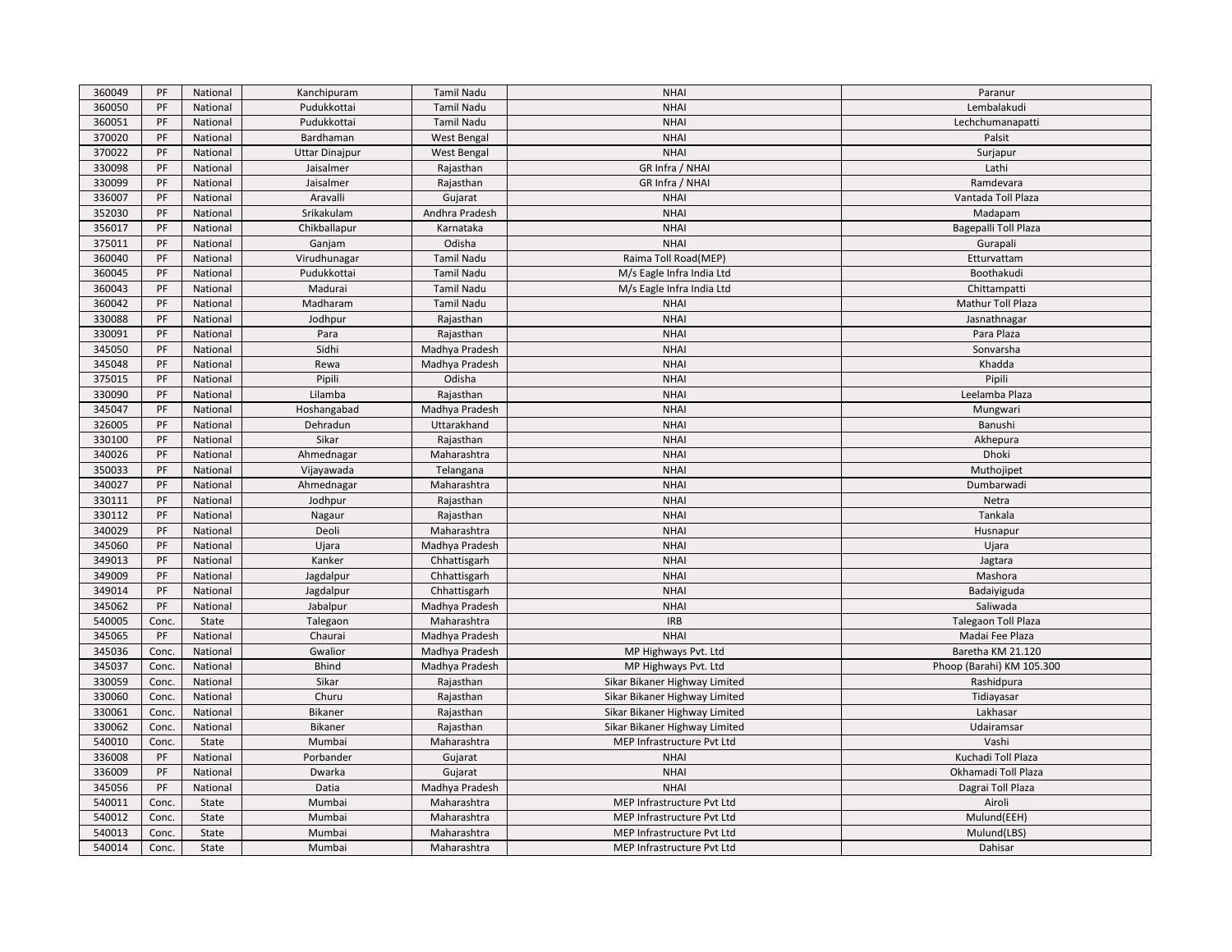| 360049 | PF    | National | Kanchipuram           | Tamil Nadu         | <b>NHAI</b>                   | Paranur                   |
|--------|-------|----------|-----------------------|--------------------|-------------------------------|---------------------------|
| 360050 | PF    | National | Pudukkottai           | Tamil Nadu         | <b>NHAI</b>                   | Lembalakudi               |
| 360051 | PF    | National | Pudukkottai           | Tamil Nadu         | <b>NHAI</b>                   | Lechchumanapatti          |
| 370020 | PF    | National | Bardhaman             | <b>West Bengal</b> | <b>NHAI</b>                   | Palsit                    |
| 370022 | PF    | National | <b>Uttar Dinajpur</b> | <b>West Bengal</b> | <b>NHAI</b>                   | Surjapur                  |
| 330098 | PF    | National | Jaisalmer             | Rajasthan          | GR Infra / NHAI               | Lathi                     |
| 330099 | PF    | National | Jaisalmer             | Rajasthan          | GR Infra / NHAI               | Ramdevara                 |
| 336007 | PF    | National | Aravalli              | Gujarat            | <b>NHAI</b>                   | Vantada Toll Plaza        |
| 352030 | PF    | National | Srikakulam            | Andhra Pradesh     | <b>NHAI</b>                   | Madapam                   |
| 356017 | PF    | National | Chikballapur          | Karnataka          | <b>NHAI</b>                   | Bagepalli Toll Plaza      |
| 375011 | PF    | National | Ganjam                | Odisha             | <b>NHAI</b>                   | Gurapali                  |
| 360040 | PF    | National | Virudhunagar          | <b>Tamil Nadu</b>  | Raima Toll Road(MEP)          | Etturvattam               |
| 360045 | PF    | National | Pudukkottai           | <b>Tamil Nadu</b>  | M/s Eagle Infra India Ltd     | Boothakudi                |
| 360043 | PF    | National | Madurai               | <b>Tamil Nadu</b>  | M/s Eagle Infra India Ltd     | Chittampatti              |
| 360042 | PF    | National | Madharam              | Tamil Nadu         | <b>NHAI</b>                   | Mathur Toll Plaza         |
| 330088 | PF    | National | Jodhpur               | Rajasthan          | <b>NHAI</b>                   | Jasnathnagar              |
| 330091 | PF    | National | Para                  | Rajasthan          | <b>NHAI</b>                   | Para Plaza                |
| 345050 | PF    | National | Sidhi                 | Madhya Pradesh     | <b>NHAI</b>                   | Sonvarsha                 |
| 345048 | PF    | National | Rewa                  | Madhya Pradesh     | <b>NHAI</b>                   | Khadda                    |
| 375015 | PF    | National | Pipili                | Odisha             | <b>NHAI</b>                   | Pipili                    |
| 330090 | PF    | National | Lilamba               | Rajasthan          | <b>NHAI</b>                   | Leelamba Plaza            |
| 345047 | PF    | National | Hoshangabad           | Madhya Pradesh     | <b>NHAI</b>                   | Mungwari                  |
| 326005 | PF    | National | Dehradun              | Uttarakhand        | <b>NHAI</b>                   | Banushi                   |
| 330100 | PF    | National | Sikar                 | Rajasthan          | <b>NHAI</b>                   | Akhepura                  |
| 340026 | PF    | National | Ahmednagar            | Maharashtra        | <b>NHAI</b>                   | Dhoki                     |
| 350033 | PF    | National | Vijayawada            | Telangana          | <b>NHAI</b>                   | Muthojipet                |
| 340027 | PF    | National | Ahmednagar            | Maharashtra        | <b>NHAI</b>                   | Dumbarwadi                |
| 330111 | PF    | National | Jodhpur               | Rajasthan          | <b>NHAI</b>                   | Netra                     |
| 330112 | PF    | National | Nagaur                | Rajasthan          | <b>NHAI</b>                   | Tankala                   |
| 340029 | PF    | National | Deoli                 | Maharashtra        | <b>NHAI</b>                   | Husnapur                  |
| 345060 | PF    | National | Ujara                 | Madhya Pradesh     | <b>NHAI</b>                   | Ujara                     |
| 349013 | PF    | National | Kanker                | Chhattisgarh       | <b>NHAI</b>                   | Jagtara                   |
| 349009 | PF    | National | Jagdalpur             | Chhattisgarh       | <b>NHAI</b>                   | Mashora                   |
| 349014 | PF    | National | Jagdalpur             | Chhattisgarh       | <b>NHAI</b>                   | Badaiyiguda               |
| 345062 | PF    | National | Jabalpur              | Madhya Pradesh     | <b>NHAI</b>                   | Saliwada                  |
| 540005 | Conc. | State    | Talegaon              | Maharashtra        | <b>IRB</b>                    | Talegaon Toll Plaza       |
| 345065 | PF    | National | Chaurai               | Madhya Pradesh     | <b>NHAI</b>                   | Madai Fee Plaza           |
| 345036 | Conc. | National | Gwalior               | Madhya Pradesh     | MP Highways Pvt. Ltd          | Baretha KM 21.120         |
| 345037 | Conc. | National | <b>Bhind</b>          | Madhya Pradesh     | MP Highways Pvt. Ltd          | Phoop (Barahi) KM 105.300 |
| 330059 | Conc. | National | Sikar                 | Rajasthan          | Sikar Bikaner Highway Limited | Rashidpura                |
| 330060 | Conc. | National | Churu                 | Rajasthan          | Sikar Bikaner Highway Limited | Tidiayasar                |
| 330061 | Conc. | National | Bikaner               | Rajasthan          | Sikar Bikaner Highway Limited | Lakhasar                  |
| 330062 | Conc. | National | <b>Bikaner</b>        | Rajasthan          | Sikar Bikaner Highway Limited | Udairamsar                |
| 540010 | Conc. | State    | Mumbai                | Maharashtra        | MEP Infrastructure Pvt Ltd    | Vashi                     |
| 336008 | PF    | National | Porbander             | Gujarat            | <b>NHAI</b>                   | Kuchadi Toll Plaza        |
| 336009 | PF    | National | Dwarka                | Gujarat            | <b>NHAI</b>                   | Okhamadi Toll Plaza       |
| 345056 | PF    | National | Datia                 | Madhya Pradesh     | <b>NHAI</b>                   | Dagrai Toll Plaza         |
| 540011 | Conc. | State    | Mumbai                | Maharashtra        | MEP Infrastructure Pvt Ltd    | Airoli                    |
| 540012 | Conc. | State    | Mumbai                | Maharashtra        | MEP Infrastructure Pvt Ltd    | Mulund(EEH)               |
| 540013 | Conc. | State    | Mumbai                | Maharashtra        | MEP Infrastructure Pvt Ltd    | Mulund(LBS)               |
| 540014 | Conc. | State    | Mumbai                | Maharashtra        | MEP Infrastructure Pvt Ltd    | Dahisar                   |
|        |       |          |                       |                    |                               |                           |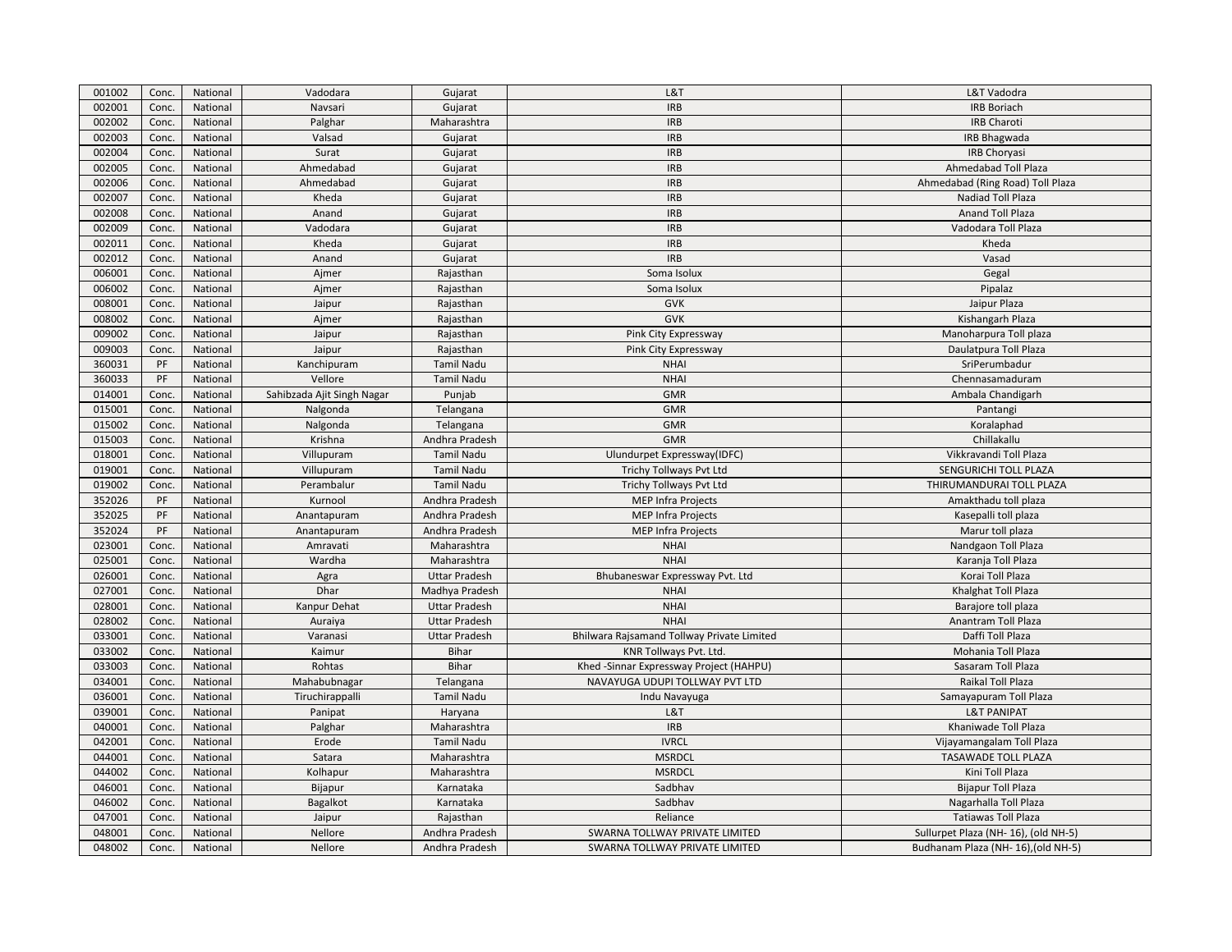| 001002 | Conc. | National | Vadodara                   | Gujarat              | L&T                                        | L&T Vadodra                          |
|--------|-------|----------|----------------------------|----------------------|--------------------------------------------|--------------------------------------|
| 002001 | Conc. | National | Navsari                    | Gujarat              | <b>IRB</b>                                 | <b>IRB Boriach</b>                   |
| 002002 | Conc. | National | Palghar                    | Maharashtra          | <b>IRB</b>                                 | IRB Charoti                          |
| 002003 | Conc. | National | Valsad                     | Gujarat              | <b>IRB</b>                                 | <b>IRB Bhagwada</b>                  |
| 002004 | Conc. | National | Surat                      | Gujarat              | <b>IRB</b>                                 | IRB Choryasi                         |
| 002005 | Conc. | National | Ahmedabad                  | Gujarat              | <b>IRB</b>                                 | Ahmedabad Toll Plaza                 |
| 002006 | Conc. | National | Ahmedabad                  | Gujarat              | <b>IRB</b>                                 | Ahmedabad (Ring Road) Toll Plaza     |
| 002007 | Conc. | National | Kheda                      | Gujarat              | <b>IRB</b>                                 | Nadiad Toll Plaza                    |
| 002008 | Conc. | National | Anand                      | Gujarat              | <b>IRB</b>                                 | Anand Toll Plaza                     |
| 002009 | Conc. | National | Vadodara                   | Gujarat              | <b>IRB</b>                                 | Vadodara Toll Plaza                  |
| 002011 | Conc. | National | Kheda                      | Gujarat              | <b>IRB</b>                                 | Kheda                                |
| 002012 | Conc. | National | Anand                      | Gujarat              | <b>IRB</b>                                 | Vasad                                |
| 006001 | Conc. | National | Ajmer                      | Rajasthan            | Soma Isolux                                | Gegal                                |
| 006002 | Conc. | National | Ajmer                      | Rajasthan            | Soma Isolux                                | Pipalaz                              |
| 008001 | Conc. | National | Jaipur                     | Rajasthan            | <b>GVK</b>                                 | Jaipur Plaza                         |
| 008002 | Conc. | National | Ajmer                      | Rajasthan            | <b>GVK</b>                                 | Kishangarh Plaza                     |
| 009002 | Conc. | National | Jaipur                     | Rajasthan            | Pink City Expressway                       | Manoharpura Toll plaza               |
| 009003 | Conc. | National | Jaipur                     | Rajasthan            | Pink City Expressway                       | Daulatpura Toll Plaza                |
| 360031 | PF    | National | Kanchipuram                | <b>Tamil Nadu</b>    | <b>NHAI</b>                                | SriPerumbadur                        |
| 360033 | PF    | National | Vellore                    | <b>Tamil Nadu</b>    | <b>NHAI</b>                                | Chennasamaduram                      |
| 014001 | Conc. | National | Sahibzada Ajit Singh Nagar | Punjab               | <b>GMR</b>                                 | Ambala Chandigarh                    |
| 015001 | Conc. | National | Nalgonda                   | Telangana            | <b>GMR</b>                                 | Pantangi                             |
| 015002 | Conc. | National | Nalgonda                   | Telangana            | <b>GMR</b>                                 | Koralaphad                           |
| 015003 | Conc. | National | Krishna                    | Andhra Pradesh       | <b>GMR</b>                                 | Chillakallu                          |
| 018001 | Conc. | National | Villupuram                 | <b>Tamil Nadu</b>    | Ulundurpet Expressway(IDFC)                | Vikkravandi Toll Plaza               |
| 019001 | Conc. | National | Villupuram                 | <b>Tamil Nadu</b>    | Trichy Tollways Pvt Ltd                    | SENGURICHI TOLL PLAZA                |
| 019002 | Conc. | National | Perambalur                 | <b>Tamil Nadu</b>    | Trichy Tollways Pvt Ltd                    | THIRUMANDURAI TOLL PLAZA             |
| 352026 | PF    | National | Kurnool                    | Andhra Pradesh       | <b>MEP Infra Projects</b>                  | Amakthadu toll plaza                 |
| 352025 | PF    | National | Anantapuram                | Andhra Pradesh       | <b>MEP Infra Projects</b>                  | Kasepalli toll plaza                 |
| 352024 | PF    | National | Anantapuram                | Andhra Pradesh       | <b>MEP Infra Projects</b>                  | Marur toll plaza                     |
| 023001 | Conc. | National | Amravati                   | Maharashtra          | <b>NHAI</b>                                | Nandgaon Toll Plaza                  |
| 025001 | Conc. | National | Wardha                     | Maharashtra          | <b>NHAI</b>                                | Karanja Toll Plaza                   |
| 026001 | Conc. | National | Agra                       | <b>Uttar Pradesh</b> | Bhubaneswar Expressway Pvt. Ltd            | Korai Toll Plaza                     |
| 027001 | Conc. | National | Dhar                       | Madhya Pradesh       | <b>NHAI</b>                                | Khalghat Toll Plaza                  |
| 028001 | Conc. | National | Kanpur Dehat               | <b>Uttar Pradesh</b> | <b>NHAI</b>                                | Barajore toll plaza                  |
| 028002 | Conc. | National | Auraiya                    | <b>Uttar Pradesh</b> | <b>NHAI</b>                                | Anantram Toll Plaza                  |
| 033001 | Conc. | National | Varanasi                   | <b>Uttar Pradesh</b> | Bhilwara Rajsamand Tollway Private Limited | Daffi Toll Plaza                     |
| 033002 | Conc. | National | Kaimur                     | <b>Bihar</b>         | KNR Tollways Pvt. Ltd.                     | Mohania Toll Plaza                   |
| 033003 | Conc. | National | Rohtas                     | <b>Bihar</b>         | Khed -Sinnar Expressway Project (HAHPU)    | Sasaram Toll Plaza                   |
| 034001 | Conc. | National | Mahabubnagar               | Telangana            | NAVAYUGA UDUPI TOLLWAY PVT LTD             | Raikal Toll Plaza                    |
| 036001 | Conc. | National | Tiruchirappalli            | <b>Tamil Nadu</b>    | Indu Navayuga                              | Samayapuram Toll Plaza               |
| 039001 | Conc. | National | Panipat                    | Haryana              | L&T                                        | <b>L&amp;T PANIPAT</b>               |
| 040001 | Conc. | National | Palghar                    | Maharashtra          | <b>IRB</b>                                 | Khaniwade Toll Plaza                 |
| 042001 | Conc. | National | Erode                      | <b>Tamil Nadu</b>    | <b>IVRCL</b>                               | Vijayamangalam Toll Plaza            |
| 044001 | Conc. | National | Satara                     | Maharashtra          | <b>MSRDCL</b>                              | <b>TASAWADE TOLL PLAZA</b>           |
| 044002 | Conc. | National | Kolhapur                   | Maharashtra          | <b>MSRDCL</b>                              | Kini Toll Plaza                      |
| 046001 | Conc. | National | Bijapur                    | Karnataka            | Sadbhav                                    | <b>Bijapur Toll Plaza</b>            |
| 046002 | Conc. | National | Bagalkot                   | Karnataka            | Sadbhav                                    | Nagarhalla Toll Plaza                |
| 047001 | Conc. | National | Jaipur                     | Rajasthan            | Reliance                                   | Tatiawas Toll Plaza                  |
| 048001 | Conc. | National | Nellore                    | Andhra Pradesh       | SWARNA TOLLWAY PRIVATE LIMITED             | Sullurpet Plaza (NH- 16), (old NH-5) |
| 048002 | Conc. | National | Nellore                    | Andhra Pradesh       | SWARNA TOLLWAY PRIVATE LIMITED             | Budhanam Plaza (NH- 16), (old NH-5)  |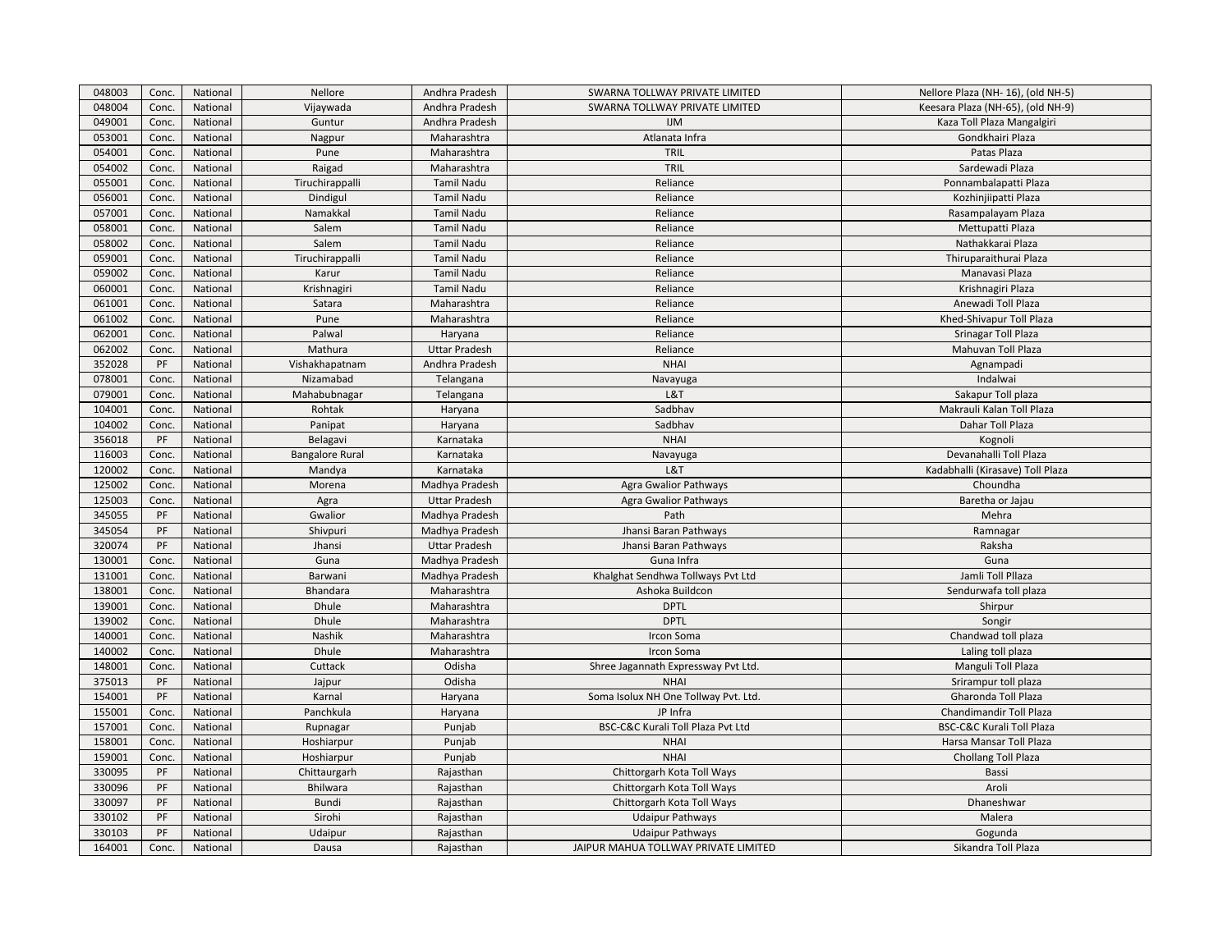| 048003 | Conc. | National | Nellore                | Andhra Pradesh       | SWARNA TOLLWAY PRIVATE LIMITED       | Nellore Plaza (NH- 16), (old NH-5) |
|--------|-------|----------|------------------------|----------------------|--------------------------------------|------------------------------------|
| 048004 | Conc. | National | Vijaywada              | Andhra Pradesh       | SWARNA TOLLWAY PRIVATE LIMITED       | Keesara Plaza (NH-65), (old NH-9)  |
| 049001 | Conc. | National | Guntur                 | Andhra Pradesh       | <b>IJM</b>                           | Kaza Toll Plaza Mangalgiri         |
| 053001 | Conc. | National | Nagpur                 | Maharashtra          | Atlanata Infra                       | Gondkhairi Plaza                   |
| 054001 | Conc. | National | Pune                   | Maharashtra          | TRIL                                 | Patas Plaza                        |
| 054002 | Conc. | National | Raigad                 | Maharashtra          | TRIL                                 | Sardewadi Plaza                    |
| 055001 | Conc. | National | Tiruchirappalli        | <b>Tamil Nadu</b>    | Reliance                             | Ponnambalapatti Plaza              |
| 056001 | Conc. | National | Dindigul               | Tamil Nadu           | Reliance                             | Kozhinjiipatti Plaza               |
| 057001 | Conc. | National | Namakkal               | <b>Tamil Nadu</b>    | Reliance                             | Rasampalayam Plaza                 |
| 058001 | Conc. | National | Salem                  | <b>Tamil Nadu</b>    | Reliance                             | Mettupatti Plaza                   |
| 058002 | Conc. | National | Salem                  | <b>Tamil Nadu</b>    | Reliance                             | Nathakkarai Plaza                  |
| 059001 | Conc. | National | Tiruchirappalli        | <b>Tamil Nadu</b>    | Reliance                             | Thiruparaithurai Plaza             |
| 059002 | Conc. | National | Karur                  | Tamil Nadu           | Reliance                             | Manavasi Plaza                     |
| 060001 | Conc. | National | Krishnagiri            | <b>Tamil Nadu</b>    | Reliance                             | Krishnagiri Plaza                  |
| 061001 | Conc. | National | Satara                 | Maharashtra          | Reliance                             | Anewadi Toll Plaza                 |
| 061002 | Conc. | National | Pune                   | Maharashtra          | Reliance                             | Khed-Shivapur Toll Plaza           |
| 062001 | Conc. | National | Palwal                 | Haryana              | Reliance                             | Srinagar Toll Plaza                |
| 062002 | Conc. | National | Mathura                | <b>Uttar Pradesh</b> | Reliance                             | Mahuvan Toll Plaza                 |
| 352028 | PF    | National | Vishakhapatnam         | Andhra Pradesh       | <b>NHAI</b>                          | Agnampadi                          |
| 078001 | Conc. | National | Nizamabad              | Telangana            | Navayuga                             | Indalwai                           |
| 079001 | Conc. | National | Mahabubnagar           | Telangana            | L&T                                  | Sakapur Toll plaza                 |
| 104001 | Conc. | National | Rohtak                 | Haryana              | Sadbhav                              | Makrauli Kalan Toll Plaza          |
| 104002 | Conc. | National | Panipat                | Haryana              | Sadbhav                              | Dahar Toll Plaza                   |
| 356018 | PF    | National | Belagavi               | Karnataka            | <b>NHAI</b>                          | Kognoli                            |
| 116003 | Conc. | National | <b>Bangalore Rural</b> | Karnataka            | Navayuga                             | Devanahalli Toll Plaza             |
| 120002 | Conc. | National | Mandya                 | Karnataka            | L&T                                  | Kadabhalli (Kirasave) Toll Plaza   |
| 125002 | Conc. | National | Morena                 | Madhya Pradesh       | <b>Agra Gwalior Pathways</b>         | Choundha                           |
| 125003 | Conc. | National | Agra                   | <b>Uttar Pradesh</b> | <b>Agra Gwalior Pathways</b>         | Baretha or Jajau                   |
| 345055 | PF    | National | Gwalior                | Madhya Pradesh       | Path                                 | Mehra                              |
| 345054 | PF    | National | Shivpuri               | Madhya Pradesh       | Jhansi Baran Pathways                | Ramnagar                           |
| 320074 | PF    | National | Jhansi                 | <b>Uttar Pradesh</b> | Jhansi Baran Pathways                | Raksha                             |
| 130001 | Conc. | National | Guna                   | Madhya Pradesh       | Guna Infra                           | Guna                               |
| 131001 | Conc. | National | Barwani                | Madhya Pradesh       | Khalghat Sendhwa Tollways Pvt Ltd    | Jamli Toll Pllaza                  |
| 138001 | Conc. | National | Bhandara               | Maharashtra          | Ashoka Buildcon                      | Sendurwafa toll plaza              |
| 139001 | Conc. | National | Dhule                  | Maharashtra          | <b>DPTL</b>                          | Shirpur                            |
| 139002 | Conc. | National | Dhule                  | Maharashtra          | <b>DPTL</b>                          | Songir                             |
| 140001 | Conc. | National | Nashik                 | Maharashtra          | Ircon Soma                           | Chandwad toll plaza                |
| 140002 | Conc. | National | Dhule                  | Maharashtra          | Ircon Soma                           | Laling toll plaza                  |
| 148001 | Conc. | National | Cuttack                | Odisha               | Shree Jagannath Expressway Pvt Ltd.  | Manguli Toll Plaza                 |
| 375013 | PF    | National | Jajpur                 | Odisha               | <b>NHAI</b>                          | Srirampur toll plaza               |
| 154001 | PF    | National | Karnal                 | Haryana              | Soma Isolux NH One Tollway Pvt. Ltd. | Gharonda Toll Plaza                |
| 155001 | Conc. | National | Panchkula              | Haryana              | JP Infra                             | Chandimandir Toll Plaza            |
| 157001 | Conc. | National | Rupnagar               | Punjab               | BSC-C&C Kurali Toll Plaza Pvt Ltd    | BSC-C&C Kurali Toll Plaza          |
| 158001 | Conc. | National | Hoshiarpur             | Punjab               | <b>NHAI</b>                          | Harsa Mansar Toll Plaza            |
| 159001 | Conc. | National | Hoshiarpur             | Punjab               | <b>NHAI</b>                          | Chollang Toll Plaza                |
| 330095 | PF    | National | Chittaurgarh           | Rajasthan            | Chittorgarh Kota Toll Ways           | Bassi                              |
| 330096 | PF    | National | Bhilwara               | Rajasthan            | Chittorgarh Kota Toll Ways           | Aroli                              |
| 330097 | PF    | National | <b>Bundi</b>           | Rajasthan            | Chittorgarh Kota Toll Ways           | Dhaneshwar                         |
| 330102 | PF    | National | Sirohi                 | Rajasthan            | <b>Udaipur Pathways</b>              | Malera                             |
| 330103 | PF    | National | Udaipur                | Rajasthan            | <b>Udaipur Pathways</b>              | Gogunda                            |
| 164001 | Conc. | National | Dausa                  | Rajasthan            | JAIPUR MAHUA TOLLWAY PRIVATE LIMITED | Sikandra Toll Plaza                |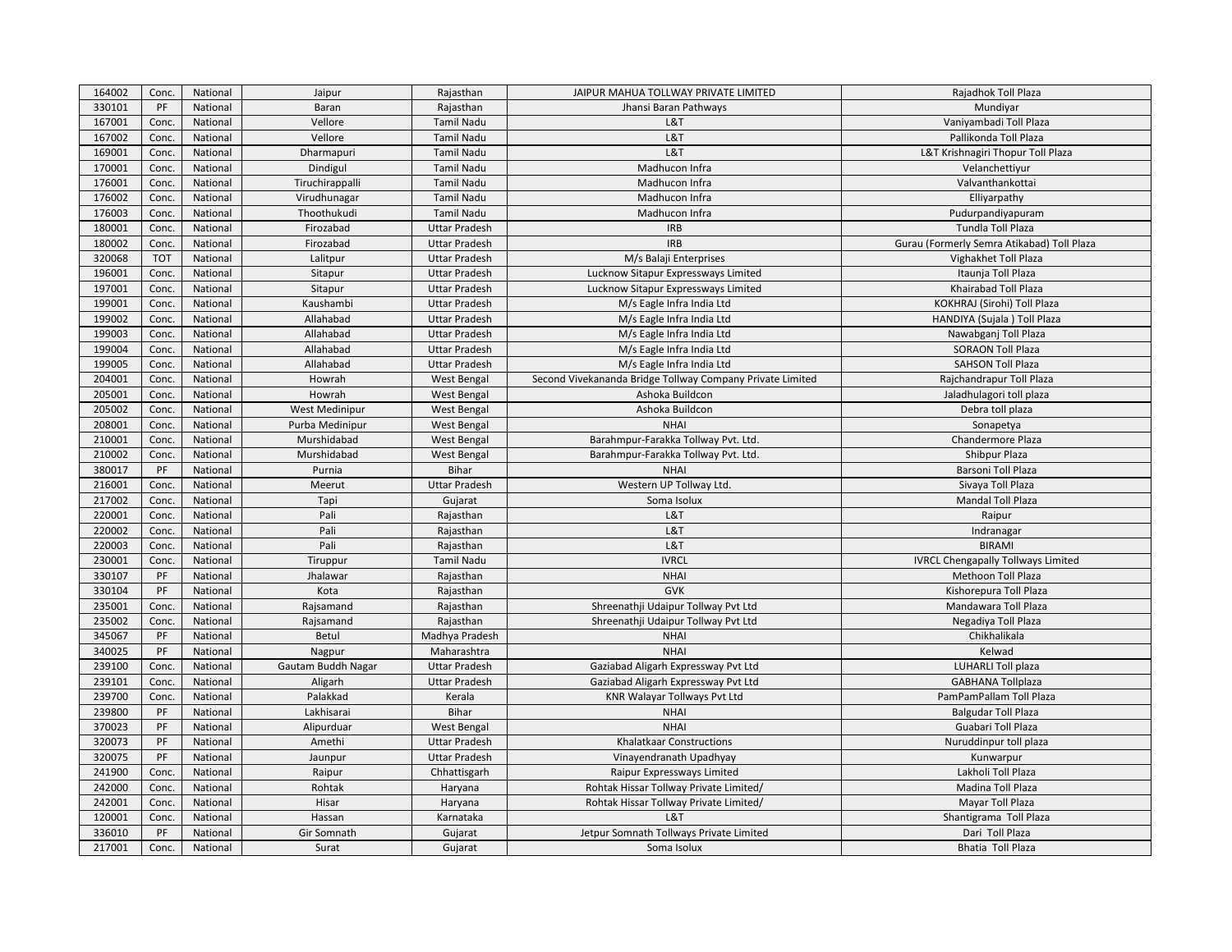| 164002 | Conc.       | National | Jaipur             | Rajasthan            | JAIPUR MAHUA TOLLWAY PRIVATE LIMITED                      | Rajadhok Toll Plaza                        |
|--------|-------------|----------|--------------------|----------------------|-----------------------------------------------------------|--------------------------------------------|
| 330101 | PF          | National | Baran              | Rajasthan            | Jhansi Baran Pathways                                     | Mundiyar                                   |
| 167001 | Conc.       | National | Vellore            | <b>Tamil Nadu</b>    | L&T                                                       | Vaniyambadi Toll Plaza                     |
| 167002 | Conc.       | National | Vellore            | <b>Tamil Nadu</b>    | L&T                                                       | Pallikonda Toll Plaza                      |
| 169001 | Conc.       | National | Dharmapuri         | <b>Tamil Nadu</b>    | L&T                                                       | L&T Krishnagiri Thopur Toll Plaza          |
| 170001 | Conc.       | National | Dindigul           | <b>Tamil Nadu</b>    | Madhucon Infra                                            | Velanchettiyur                             |
| 176001 | Conc.       | National | Tiruchirappalli    | <b>Tamil Nadu</b>    | Madhucon Infra                                            | Valvanthankottai                           |
| 176002 | Conc.       | National | Virudhunagar       | <b>Tamil Nadu</b>    | Madhucon Infra                                            | Elliyarpathy                               |
| 176003 | Conc.       | National | Thoothukudi        | <b>Tamil Nadu</b>    | Madhucon Infra                                            | Pudurpandiyapuram                          |
| 180001 | Conc.       | National | Firozabad          | <b>Uttar Pradesh</b> | <b>IRB</b>                                                | Tundla Toll Plaza                          |
| 180002 | Conc.       | National | Firozabad          | <b>Uttar Pradesh</b> | <b>IRB</b>                                                | Gurau (Formerly Semra Atikabad) Toll Plaza |
| 320068 | <b>TOT</b>  | National | Lalitpur           | <b>Uttar Pradesh</b> | M/s Balaji Enterprises                                    | Vighakhet Toll Plaza                       |
| 196001 | Conc.       | National | Sitapur            | <b>Uttar Pradesh</b> | Lucknow Sitapur Expressways Limited                       | Itaunja Toll Plaza                         |
| 197001 | Conc.       | National | Sitapur            | <b>Uttar Pradesh</b> | Lucknow Sitapur Expressways Limited                       | Khairabad Toll Plaza                       |
| 199001 | Conc.       | National | Kaushambi          | <b>Uttar Pradesh</b> | M/s Eagle Infra India Ltd                                 | KOKHRAJ (Sirohi) Toll Plaza                |
| 199002 | Conc.       | National | Allahabad          | <b>Uttar Pradesh</b> | M/s Eagle Infra India Ltd                                 | HANDIYA (Sujala) Toll Plaza                |
| 199003 | Conc.       | National | Allahabad          | <b>Uttar Pradesh</b> | M/s Eagle Infra India Ltd                                 | Nawabganj Toll Plaza                       |
| 199004 | Conc.       | National | Allahabad          | <b>Uttar Pradesh</b> | M/s Eagle Infra India Ltd                                 | <b>SORAON Toll Plaza</b>                   |
| 199005 | Conc.       | National | Allahabad          | <b>Uttar Pradesh</b> | M/s Eagle Infra India Ltd                                 | <b>SAHSON Toll Plaza</b>                   |
| 204001 | Conc.       | National | Howrah             | West Bengal          | Second Vivekananda Bridge Tollway Company Private Limited | Rajchandrapur Toll Plaza                   |
| 205001 | Conc.       | National | Howrah             | West Bengal          | Ashoka Buildcon                                           | Jaladhulagori toll plaza                   |
| 205002 | Conc.       | National | West Medinipur     | <b>West Bengal</b>   | Ashoka Buildcon                                           | Debra toll plaza                           |
| 208001 | Conc.       | National | Purba Medinipur    | <b>West Bengal</b>   | <b>NHAI</b>                                               | Sonapetya                                  |
| 210001 | Conc.       | National | Murshidabad        | West Bengal          | Barahmpur-Farakka Tollway Pvt. Ltd.                       | Chandermore Plaza                          |
| 210002 | Conc.       | National | Murshidabad        | West Bengal          | Barahmpur-Farakka Tollway Pvt. Ltd.                       | Shibpur Plaza                              |
| 380017 | PF          | National | Purnia             | <b>Bihar</b>         | <b>NHAI</b>                                               | Barsoni Toll Plaza                         |
| 216001 | Conc.       | National | Meerut             | <b>Uttar Pradesh</b> | Western UP Tollway Ltd.                                   | Sivaya Toll Plaza                          |
| 217002 | Conc.       | National | Tapi               | Gujarat              | Soma Isolux                                               | Mandal Toll Plaza                          |
| 220001 | Conc.       | National | Pali               | Rajasthan            | L&T                                                       | Raipur                                     |
| 220002 | Conc.       | National | Pali               | Rajasthan            | L&T                                                       | Indranagar                                 |
| 220003 | Conc.       | National | Pali               | Rajasthan            | L&T                                                       | <b>BIRAMI</b>                              |
| 230001 | Conc.       | National | Tiruppur           | <b>Tamil Nadu</b>    | <b>IVRCL</b>                                              | <b>IVRCL Chengapally Tollways Limited</b>  |
| 330107 | PF          | National | Jhalawar           | Rajasthan            | <b>NHAI</b>                                               | <b>Methoon Toll Plaza</b>                  |
| 330104 | PF          | National | Kota               | Rajasthan            | <b>GVK</b>                                                | Kishorepura Toll Plaza                     |
| 235001 | Conc.       | National | Rajsamand          | Rajasthan            | Shreenathji Udaipur Tollway Pvt Ltd                       | Mandawara Toll Plaza                       |
| 235002 | Conc.       | National | Rajsamand          | Rajasthan            | Shreenathji Udaipur Tollway Pvt Ltd                       | Negadiya Toll Plaza                        |
| 345067 | PF          | National | Betul              | Madhya Pradesh       | <b>NHAI</b>                                               | Chikhalikala                               |
| 340025 | PF          | National | Nagpur             | Maharashtra          | <b>NHAI</b>                                               | Kelwad                                     |
| 239100 | Conc.       | National | Gautam Buddh Nagar | <b>Uttar Pradesh</b> | Gaziabad Aligarh Expressway Pvt Ltd                       | LUHARLI Toll plaza                         |
| 239101 | Conc.       | National | Aligarh            | <b>Uttar Pradesh</b> | Gaziabad Aligarh Expressway Pvt Ltd                       | <b>GABHANA Tollplaza</b>                   |
| 239700 | Conc.       | National | Palakkad           | Kerala               | KNR Walayar Tollways Pvt Ltd                              | PamPamPallam Toll Plaza                    |
| 239800 | PF          | National | Lakhisarai         | Bihar                | <b>NHAI</b>                                               | <b>Balgudar Toll Plaza</b>                 |
| 370023 | PF          | National | Alipurduar         | West Bengal          | <b>NHAI</b>                                               | Guabari Toll Plaza                         |
| 320073 | PF          | National | Amethi             | <b>Uttar Pradesh</b> | Khalatkaar Constructions                                  | Nuruddinpur toll plaza                     |
| 320075 | PF          | National | Jaunpur            | <b>Uttar Pradesh</b> | Vinayendranath Upadhyay                                   | Kunwarpur                                  |
| 241900 | Conc.       | National | Raipur             | Chhattisgarh         | Raipur Expressways Limited                                | Lakholi Toll Plaza                         |
| 242000 | Conc.       | National | Rohtak             | Haryana              | Rohtak Hissar Tollway Private Limited/                    | Madina Toll Plaza                          |
| 242001 | Conc.       | National | Hisar              | Haryana              | Rohtak Hissar Tollway Private Limited/                    | Mayar Toll Plaza                           |
| 120001 |             | National | Hassan             | Karnataka            | L&T                                                       |                                            |
| 336010 | Conc.<br>PF | National | Gir Somnath        |                      | Jetpur Somnath Tollways Private Limited                   | Shantigrama Toll Plaza<br>Dari Toll Plaza  |
|        |             |          |                    | Gujarat              |                                                           |                                            |
| 217001 | Conc.       | National | Surat              | Gujarat              | Soma Isolux                                               | Bhatia Toll Plaza                          |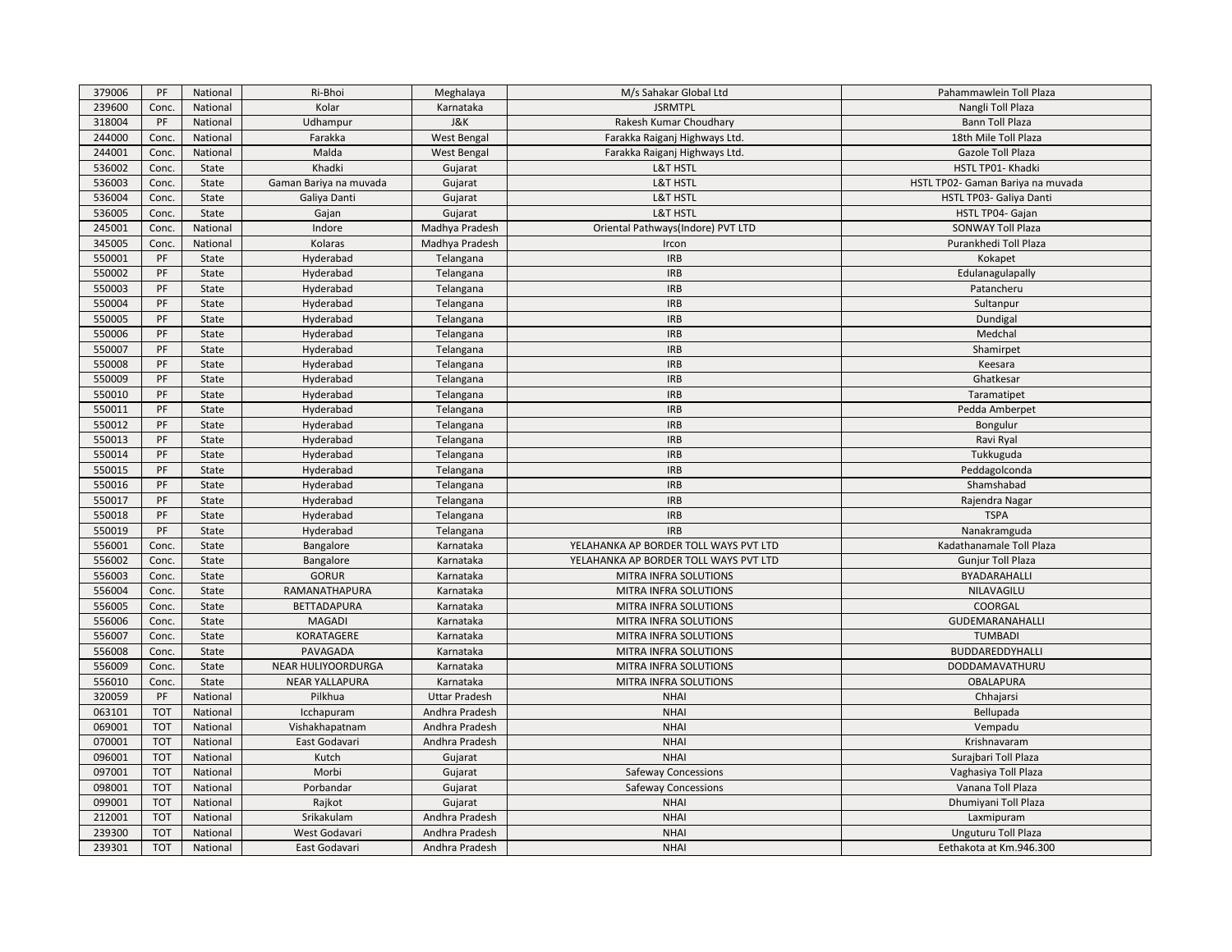| 379006 | PF         | National | Ri-Bhoi                | Meghalaya            | M/s Sahakar Global Ltd                | Pahammawlein Toll Plaza           |
|--------|------------|----------|------------------------|----------------------|---------------------------------------|-----------------------------------|
| 239600 | Conc.      | National | Kolar                  | Karnataka            | <b>JSRMTPL</b>                        | Nangli Toll Plaza                 |
| 318004 | PF         | National | Udhampur               | <b>J&amp;K</b>       | Rakesh Kumar Choudhary                | Bann Toll Plaza                   |
| 244000 | Conc.      | National | Farakka                | West Bengal          | Farakka Raiganj Highways Ltd.         | 18th Mile Toll Plaza              |
| 244001 | Conc.      | National | Malda                  | West Bengal          | Farakka Raiganj Highways Ltd.         | Gazole Toll Plaza                 |
| 536002 | Conc.      | State    | Khadki                 | Gujarat              | <b>L&amp;T HSTL</b>                   | HSTL TP01- Khadki                 |
| 536003 | Conc.      | State    | Gaman Bariya na muvada | Gujarat              | <b>L&amp;T HSTL</b>                   | HSTL TP02- Gaman Bariya na muvada |
| 536004 | Conc.      | State    | Galiya Danti           | Gujarat              | <b>L&amp;T HSTL</b>                   | HSTL TP03- Galiya Danti           |
| 536005 | Conc.      | State    | Gajan                  | Gujarat              | <b>L&amp;T HSTL</b>                   | HSTL TP04- Gajan                  |
| 245001 | Conc.      | National | Indore                 | Madhya Pradesh       | Oriental Pathways(Indore) PVT LTD     | <b>SONWAY Toll Plaza</b>          |
| 345005 | Conc.      | National | Kolaras                | Madhya Pradesh       | Ircon                                 | Purankhedi Toll Plaza             |
| 550001 | PF         | State    | Hyderabad              | Telangana            | <b>IRB</b>                            | Kokapet                           |
| 550002 | PF         | State    | Hyderabad              | Telangana            | <b>IRB</b>                            | Edulanagulapally                  |
| 550003 | PF         | State    | Hyderabad              | Telangana            | <b>IRB</b>                            | Patancheru                        |
| 550004 | PF         | State    | Hyderabad              | Telangana            | <b>IRB</b>                            | Sultanpur                         |
| 550005 | PF         | State    | Hyderabad              | Telangana            | <b>IRB</b>                            | Dundigal                          |
| 550006 | PF         | State    | Hyderabad              | Telangana            | <b>IRB</b>                            | Medchal                           |
| 550007 | PF         | State    | Hyderabad              | Telangana            | <b>IRB</b>                            | Shamirpet                         |
| 550008 | PF         | State    | Hyderabad              | Telangana            | <b>IRB</b>                            | Keesara                           |
| 550009 | PF         | State    | Hyderabad              | Telangana            | <b>IRB</b>                            | Ghatkesar                         |
| 550010 | PF         | State    | Hyderabad              | Telangana            | <b>IRB</b>                            | Taramatipet                       |
| 550011 | PF         | State    | Hyderabad              | Telangana            | <b>IRB</b>                            | Pedda Amberpet                    |
| 550012 | PF         | State    | Hyderabad              | Telangana            | <b>IRB</b>                            | Bongulur                          |
| 550013 | PF         | State    | Hyderabad              | Telangana            | <b>IRB</b>                            | Ravi Ryal                         |
| 550014 | PF         | State    | Hyderabad              | Telangana            | <b>IRB</b>                            | Tukkuguda                         |
| 550015 | PF         | State    | Hyderabad              | Telangana            | <b>IRB</b>                            | Peddagolconda                     |
| 550016 | PF         | State    | Hyderabad              | Telangana            | <b>IRB</b>                            | Shamshabad                        |
| 550017 | PF         | State    | Hyderabad              | Telangana            | <b>IRB</b>                            | Rajendra Nagar                    |
| 550018 | PF         | State    | Hyderabad              | Telangana            | <b>IRB</b>                            | <b>TSPA</b>                       |
| 550019 | PF         | State    | Hyderabad              | Telangana            | <b>IRB</b>                            | Nanakramguda                      |
| 556001 | Conc.      | State    | Bangalore              | Karnataka            | YELAHANKA AP BORDER TOLL WAYS PVT LTD | Kadathanamale Toll Plaza          |
| 556002 | Conc.      | State    | Bangalore              | Karnataka            | YELAHANKA AP BORDER TOLL WAYS PVT LTD | <b>Gunjur Toll Plaza</b>          |
| 556003 | Conc.      | State    | <b>GORUR</b>           | Karnataka            | MITRA INFRA SOLUTIONS                 | BYADARAHALLI                      |
| 556004 | Conc.      | State    | RAMANATHAPURA          | Karnataka            | MITRA INFRA SOLUTIONS                 | NILAVAGILU                        |
| 556005 | Conc.      | State    | <b>BETTADAPURA</b>     | Karnataka            | MITRA INFRA SOLUTIONS                 | COORGAL                           |
| 556006 | Conc.      | State    | <b>MAGADI</b>          | Karnataka            | MITRA INFRA SOLUTIONS                 | GUDEMARANAHALLI                   |
| 556007 | Conc.      | State    | KORATAGERE             | Karnataka            | MITRA INFRA SOLUTIONS                 | <b>TUMBADI</b>                    |
| 556008 | Conc.      | State    | PAVAGADA               | Karnataka            | MITRA INFRA SOLUTIONS                 | BUDDAREDDYHALLI                   |
| 556009 | Conc.      | State    | NEAR HULIYOORDURGA     | Karnataka            | MITRA INFRA SOLUTIONS                 | DODDAMAVATHURU                    |
| 556010 | Conc.      | State    | <b>NEAR YALLAPURA</b>  | Karnataka            | MITRA INFRA SOLUTIONS                 | <b>OBALAPURA</b>                  |
| 320059 | PF         | National | Pilkhua                | <b>Uttar Pradesh</b> | <b>NHAI</b>                           | Chhajarsi                         |
| 063101 | <b>TOT</b> | National | Icchapuram             | Andhra Pradesh       | <b>NHAI</b>                           | Bellupada                         |
| 069001 | <b>TOT</b> | National | Vishakhapatnam         | Andhra Pradesh       | <b>NHAI</b>                           | Vempadu                           |
| 070001 | <b>TOT</b> | National | East Godavari          | Andhra Pradesh       | <b>NHAI</b>                           | Krishnavaram                      |
| 096001 | <b>TOT</b> | National | Kutch                  | Gujarat              | <b>NHAI</b>                           | Surajbari Toll Plaza              |
| 097001 | <b>TOT</b> | National | Morbi                  | Gujarat              | <b>Safeway Concessions</b>            | Vaghasiya Toll Plaza              |
| 098001 | <b>TOT</b> | National | Porbandar              | Gujarat              | <b>Safeway Concessions</b>            | Vanana Toll Plaza                 |
| 099001 | <b>TOT</b> | National | Rajkot                 | Gujarat              | <b>NHAI</b>                           | Dhumiyani Toll Plaza              |
| 212001 | <b>TOT</b> | National | Srikakulam             | Andhra Pradesh       | <b>NHAI</b>                           | Laxmipuram                        |
| 239300 | <b>TOT</b> | National | West Godavari          | Andhra Pradesh       | <b>NHAI</b>                           | Unguturu Toll Plaza               |
| 239301 | <b>TOT</b> | National | East Godavari          | Andhra Pradesh       | <b>NHAI</b>                           | Eethakota at Km.946.300           |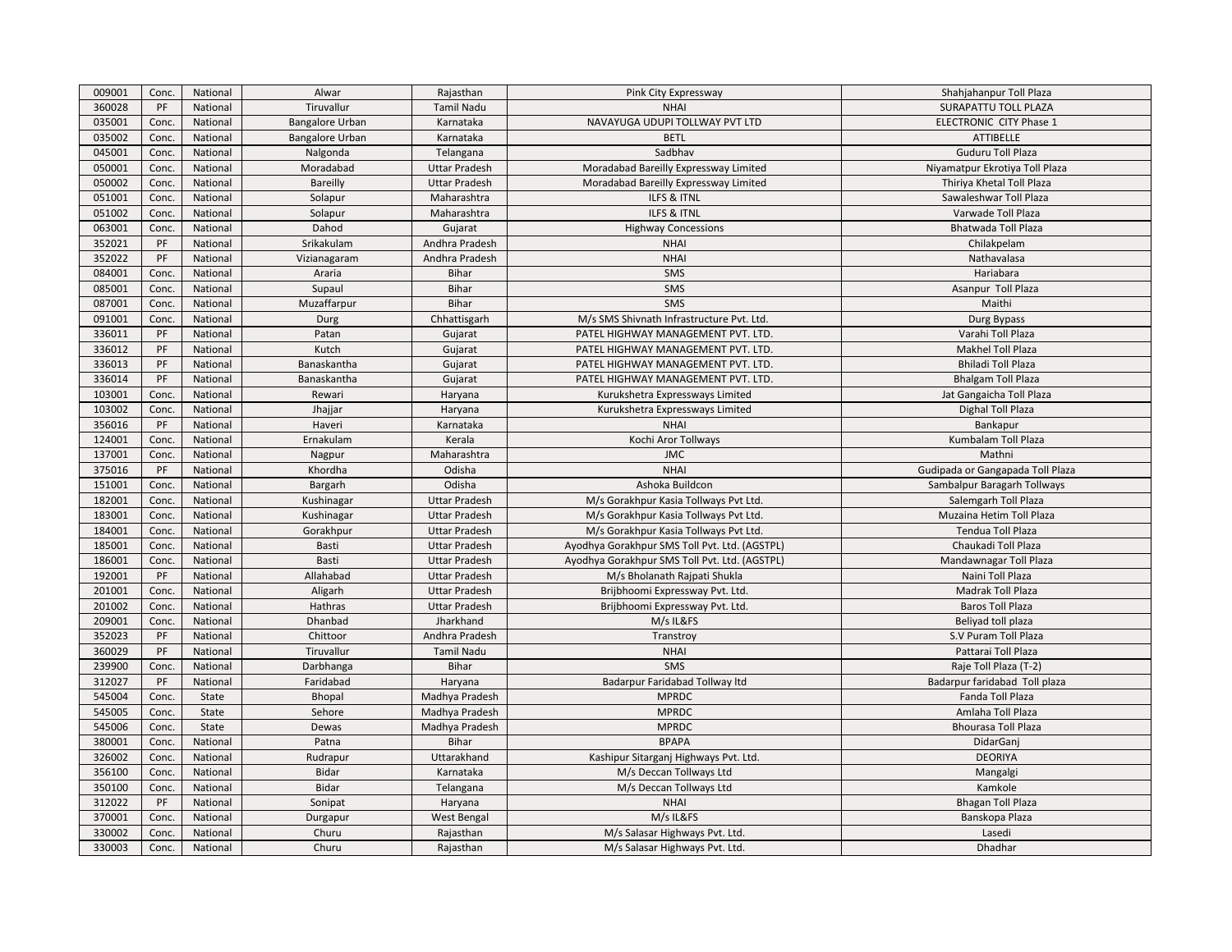| 009001 | Conc. | National | Alwar                  | Rajasthan            | Pink City Expressway                          | Shahjahanpur Toll Plaza          |
|--------|-------|----------|------------------------|----------------------|-----------------------------------------------|----------------------------------|
| 360028 | PF    | National | Tiruvallur             | <b>Tamil Nadu</b>    | <b>NHAI</b>                                   | SURAPATTU TOLL PLAZA             |
| 035001 | Conc. | National | Bangalore Urban        | Karnataka            | NAVAYUGA UDUPI TOLLWAY PVT LTD                | ELECTRONIC CITY Phase 1          |
| 035002 | Conc. | National | <b>Bangalore Urban</b> | Karnataka            | <b>BETL</b>                                   | ATTIBELLE                        |
| 045001 | Conc. | National | Nalgonda               | Telangana            | Sadbhav                                       | Guduru Toll Plaza                |
| 050001 | Conc. | National | Moradabad              | <b>Uttar Pradesh</b> | Moradabad Bareilly Expressway Limited         | Niyamatpur Ekrotiya Toll Plaza   |
| 050002 | Conc. | National | Bareilly               | <b>Uttar Pradesh</b> | Moradabad Bareilly Expressway Limited         | Thiriya Khetal Toll Plaza        |
| 051001 | Conc. | National | Solapur                | Maharashtra          | ILFS & ITNL                                   | Sawaleshwar Toll Plaza           |
| 051002 | Conc. | National | Solapur                | Maharashtra          | <b>ILFS &amp; ITNL</b>                        | Varwade Toll Plaza               |
| 063001 | Conc. | National | Dahod                  | Gujarat              | <b>Highway Concessions</b>                    | Bhatwada Toll Plaza              |
| 352021 | PF    | National | Srikakulam             | Andhra Pradesh       | <b>NHAI</b>                                   | Chilakpelam                      |
| 352022 | PF    | National | Vizianagaram           | Andhra Pradesh       | <b>NHAI</b>                                   | Nathavalasa                      |
| 084001 | Conc. | National | Araria                 | Bihar                | SMS                                           | Hariabara                        |
| 085001 | Conc. | National | Supaul                 | <b>Bihar</b>         | SMS                                           | Asanpur Toll Plaza               |
| 087001 | Conc. | National | Muzaffarpur            | Bihar                | SMS                                           | Maithi                           |
| 091001 | Conc. | National | Durg                   | Chhattisgarh         | M/s SMS Shivnath Infrastructure Pvt. Ltd.     | Durg Bypass                      |
| 336011 | PF    | National | Patan                  | Gujarat              | PATEL HIGHWAY MANAGEMENT PVT. LTD.            | Varahi Toll Plaza                |
| 336012 | PF    | National | Kutch                  | Gujarat              | PATEL HIGHWAY MANAGEMENT PVT. LTD.            | Makhel Toll Plaza                |
| 336013 | PF    | National | Banaskantha            | Gujarat              | PATEL HIGHWAY MANAGEMENT PVT. LTD.            | Bhiladi Toll Plaza               |
| 336014 | PF    | National | Banaskantha            | Gujarat              | PATEL HIGHWAY MANAGEMENT PVT. LTD.            | <b>Bhalgam Toll Plaza</b>        |
| 103001 | Conc. | National | Rewari                 | Haryana              | Kurukshetra Expressways Limited               | Jat Gangaicha Toll Plaza         |
| 103002 | Conc. | National | Jhajjar                | Haryana              | Kurukshetra Expressways Limited               | Dighal Toll Plaza                |
| 356016 | PF    | National | Haveri                 | Karnataka            | <b>NHAI</b>                                   | Bankapur                         |
| 124001 | Conc. | National | Ernakulam              | Kerala               | Kochi Aror Tollways                           | Kumbalam Toll Plaza              |
| 137001 | Conc. | National | Nagpur                 | Maharashtra          | <b>JMC</b>                                    | Mathni                           |
| 375016 | PF    | National | Khordha                | Odisha               | <b>NHAI</b>                                   | Gudipada or Gangapada Toll Plaza |
| 151001 | Conc. | National | Bargarh                | Odisha               | Ashoka Buildcon                               | Sambalpur Baragarh Tollways      |
| 182001 | Conc. | National | Kushinagar             | <b>Uttar Pradesh</b> | M/s Gorakhpur Kasia Tollways Pvt Ltd.         | Salemgarh Toll Plaza             |
| 183001 | Conc. | National | Kushinagar             | <b>Uttar Pradesh</b> | M/s Gorakhpur Kasia Tollways Pvt Ltd.         | Muzaina Hetim Toll Plaza         |
| 184001 | Conc. | National | Gorakhpur              | <b>Uttar Pradesh</b> | M/s Gorakhpur Kasia Tollways Pvt Ltd.         | Tendua Toll Plaza                |
| 185001 | Conc. | National | Basti                  | <b>Uttar Pradesh</b> | Ayodhya Gorakhpur SMS Toll Pvt. Ltd. (AGSTPL) | Chaukadi Toll Plaza              |
| 186001 | Conc. | National | Basti                  | <b>Uttar Pradesh</b> | Ayodhya Gorakhpur SMS Toll Pvt. Ltd. (AGSTPL) | Mandawnagar Toll Plaza           |
| 192001 | PF    | National | Allahabad              | <b>Uttar Pradesh</b> | M/s Bholanath Rajpati Shukla                  | Naini Toll Plaza                 |
| 201001 | Conc. | National | Aligarh                | <b>Uttar Pradesh</b> | Brijbhoomi Expressway Pvt. Ltd.               | Madrak Toll Plaza                |
| 201002 | Conc. | National | Hathras                | <b>Uttar Pradesh</b> | Brijbhoomi Expressway Pvt. Ltd.               | <b>Baros Toll Plaza</b>          |
| 209001 | Conc. | National | Dhanbad                | Jharkhand            | M/s IL&FS                                     | Beliyad toll plaza               |
| 352023 | PF    | National | Chittoor               | Andhra Pradesh       | Transtroy                                     | S.V Puram Toll Plaza             |
| 360029 | PF    | National | Tiruvallur             | <b>Tamil Nadu</b>    | <b>NHAI</b>                                   | Pattarai Toll Plaza              |
| 239900 | Conc. | National | Darbhanga              | Bihar                | SMS                                           | Raje Toll Plaza (T-2)            |
| 312027 | PF    | National | Faridabad              | Haryana              | Badarpur Faridabad Tollway Itd                | Badarpur faridabad Toll plaza    |
| 545004 | Conc. | State    | Bhopal                 | Madhya Pradesh       | <b>MPRDC</b>                                  | Fanda Toll Plaza                 |
| 545005 | Conc. | State    | Sehore                 | Madhya Pradesh       | <b>MPRDC</b>                                  | Amlaha Toll Plaza                |
| 545006 | Conc. | State    | Dewas                  | Madhya Pradesh       | <b>MPRDC</b>                                  | <b>Bhourasa Toll Plaza</b>       |
| 380001 | Conc. | National | Patna                  | Bihar                | <b>BPAPA</b>                                  | DidarGani                        |
| 326002 | Conc. | National | Rudrapur               | Uttarakhand          | Kashipur Sitarganj Highways Pvt. Ltd.         | <b>DEORIYA</b>                   |
| 356100 | Conc. | National | Bidar                  | Karnataka            | M/s Deccan Tollways Ltd                       | Mangalgi                         |
| 350100 | Conc. | National | Bidar                  | Telangana            | M/s Deccan Tollways Ltd                       | Kamkole                          |
| 312022 | PF    | National | Sonipat                | Haryana              | <b>NHAI</b>                                   | <b>Bhagan Toll Plaza</b>         |
| 370001 | Conc. | National | Durgapur               | West Bengal          | M/s IL&FS                                     | Banskopa Plaza                   |
| 330002 | Conc. | National | Churu                  | Rajasthan            | M/s Salasar Highways Pvt. Ltd.                | Lasedi                           |
| 330003 | Conc. | National | Churu                  | Rajasthan            | M/s Salasar Highways Pvt. Ltd.                | Dhadhar                          |
|        |       |          |                        |                      |                                               |                                  |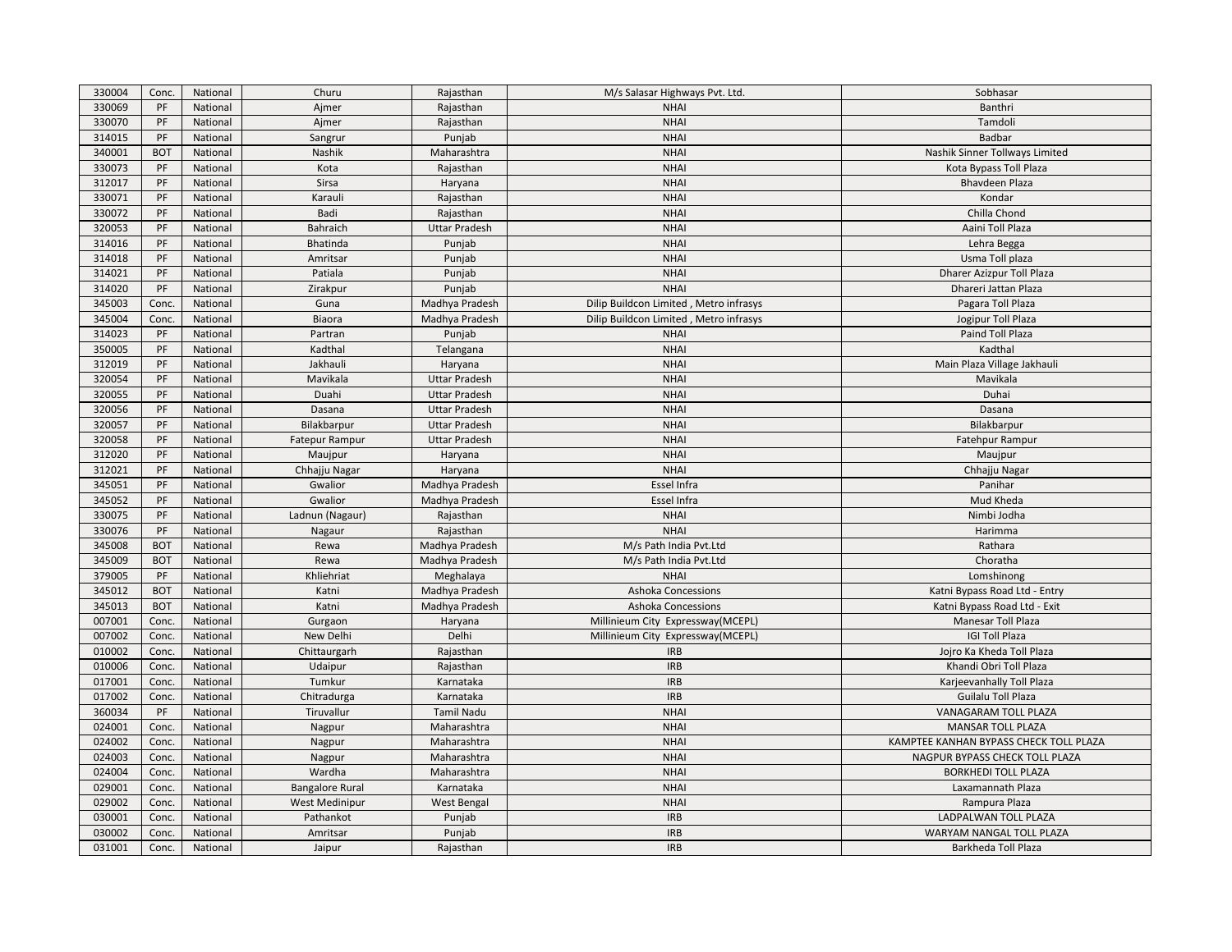| 330004 | Conc.      | National | Churu                  | Rajasthan            | M/s Salasar Highways Pvt. Ltd.         | Sobhasar                               |
|--------|------------|----------|------------------------|----------------------|----------------------------------------|----------------------------------------|
| 330069 | PF         | National | Ajmer                  | Rajasthan            | <b>NHAI</b>                            | Banthri                                |
| 330070 | PF         | National | Ajmer                  | Rajasthan            | <b>NHAI</b>                            | Tamdoli                                |
| 314015 | PF         | National | Sangrur                | Punjab               | <b>NHAI</b>                            | Badbar                                 |
| 340001 | <b>BOT</b> | National | Nashik                 | Maharashtra          | <b>NHAI</b>                            | Nashik Sinner Tollways Limited         |
| 330073 | PF         | National | Kota                   | Rajasthan            | <b>NHAI</b>                            | Kota Bypass Toll Plaza                 |
| 312017 | PF         | National | Sirsa                  | Haryana              | <b>NHAI</b>                            | Bhavdeen Plaza                         |
| 330071 | PF         | National | Karauli                | Rajasthan            | <b>NHAI</b>                            | Kondar                                 |
| 330072 | PF         | National | Badi                   | Rajasthan            | <b>NHAI</b>                            | Chilla Chond                           |
| 320053 | PF         | National | Bahraich               | <b>Uttar Pradesh</b> | <b>NHAI</b>                            | Aaini Toll Plaza                       |
| 314016 | PF         | National | Bhatinda               | Punjab               | <b>NHAI</b>                            | Lehra Begga                            |
| 314018 | PF         | National | Amritsar               | Punjab               | <b>NHAI</b>                            | Usma Toll plaza                        |
| 314021 | PF         | National | Patiala                | Punjab               | <b>NHAI</b>                            | Dharer Azizpur Toll Plaza              |
| 314020 | PF         | National | Zirakpur               | Punjab               | <b>NHAI</b>                            | Dhareri Jattan Plaza                   |
| 345003 | Conc.      | National | Guna                   | Madhya Pradesh       | Dilip Buildcon Limited, Metro infrasys | Pagara Toll Plaza                      |
| 345004 | Conc.      | National | Biaora                 | Madhya Pradesh       | Dilip Buildcon Limited, Metro infrasys | Jogipur Toll Plaza                     |
| 314023 | PF         | National | Partran                | Punjab               | <b>NHAI</b>                            | Paind Toll Plaza                       |
| 350005 | PF         | National | Kadthal                | Telangana            | <b>NHAI</b>                            | Kadthal                                |
| 312019 | PF         | National | Jakhauli               | Haryana              | <b>NHAI</b>                            | Main Plaza Village Jakhauli            |
| 320054 | PF         | National | Mavikala               | <b>Uttar Pradesh</b> | <b>NHAI</b>                            | Mavikala                               |
| 320055 | PF         | National | Duahi                  | <b>Uttar Pradesh</b> | <b>NHAI</b>                            | Duhai                                  |
| 320056 | PF         | National | Dasana                 | <b>Uttar Pradesh</b> | <b>NHAI</b>                            | Dasana                                 |
| 320057 | PF         | National | Bilakbarpur            | <b>Uttar Pradesh</b> | <b>NHAI</b>                            | Bilakbarpur                            |
| 320058 | PF         | National | <b>Fatepur Rampur</b>  | <b>Uttar Pradesh</b> | <b>NHAI</b>                            | Fatehpur Rampur                        |
| 312020 | PF         | National | Maujpur                | Haryana              | <b>NHAI</b>                            | Maujpur                                |
| 312021 | PF         | National | Chhajju Nagar          | Haryana              | <b>NHAI</b>                            | Chhajju Nagar                          |
| 345051 | PF         | National | Gwalior                | Madhya Pradesh       | Essel Infra                            | Panihar                                |
| 345052 | PF         | National | Gwalior                | Madhya Pradesh       | Essel Infra                            | Mud Kheda                              |
| 330075 | PF         | National | Ladnun (Nagaur)        | Rajasthan            | <b>NHAI</b>                            | Nimbi Jodha                            |
| 330076 | PF         | National | Nagaur                 | Rajasthan            | <b>NHAI</b>                            | Harimma                                |
| 345008 | <b>BOT</b> | National | Rewa                   | Madhya Pradesh       | M/s Path India Pvt.Ltd                 | Rathara                                |
| 345009 | <b>BOT</b> | National | Rewa                   | Madhya Pradesh       | M/s Path India Pvt.Ltd                 | Choratha                               |
| 379005 | PF         | National | Khliehriat             | Meghalaya            | <b>NHAI</b>                            | Lomshinong                             |
| 345012 | <b>BOT</b> | National | Katni                  | Madhya Pradesh       | <b>Ashoka Concessions</b>              | Katni Bypass Road Ltd - Entry          |
| 345013 | <b>BOT</b> | National | Katni                  | Madhya Pradesh       | <b>Ashoka Concessions</b>              | Katni Bypass Road Ltd - Exit           |
| 007001 | Conc.      | National | Gurgaon                | Haryana              | Millinieum City Expressway(MCEPL)      | Manesar Toll Plaza                     |
| 007002 | Conc.      | National | New Delhi              | Delhi                | Millinieum City Expressway(MCEPL)      | <b>IGI Toll Plaza</b>                  |
| 010002 | Conc.      | National | Chittaurgarh           | Rajasthan            | <b>IRB</b>                             | Jojro Ka Kheda Toll Plaza              |
| 010006 | Conc.      | National | Udaipur                | Rajasthan            | <b>IRB</b>                             | Khandi Obri Toll Plaza                 |
| 017001 | Conc.      | National | Tumkur                 | Karnataka            | <b>IRB</b>                             | Karjeevanhally Toll Plaza              |
| 017002 | Conc.      | National | Chitradurga            | Karnataka            | <b>IRB</b>                             | Guilalu Toll Plaza                     |
| 360034 | PF         | National | Tiruvallur             | <b>Tamil Nadu</b>    | <b>NHAI</b>                            | VANAGARAM TOLL PLAZA                   |
| 024001 | Conc.      | National | Nagpur                 | Maharashtra          | <b>NHAI</b>                            | <b>MANSAR TOLL PLAZA</b>               |
| 024002 | Conc.      | National | Nagpur                 | Maharashtra          | <b>NHAI</b>                            | KAMPTEE KANHAN BYPASS CHECK TOLL PLAZA |
| 024003 | Conc.      | National | Nagpur                 | Maharashtra          | <b>NHAI</b>                            | NAGPUR BYPASS CHECK TOLL PLAZA         |
| 024004 | Conc.      | National | Wardha                 | Maharashtra          | <b>NHAI</b>                            | <b>BORKHEDI TOLL PLAZA</b>             |
| 029001 | Conc.      | National | <b>Bangalore Rural</b> | Karnataka            | <b>NHAI</b>                            | Laxamannath Plaza                      |
| 029002 | Conc.      | National | West Medinipur         | <b>West Bengal</b>   | <b>NHAI</b>                            | Rampura Plaza                          |
| 030001 | Conc.      | National | Pathankot              | Punjab               | <b>IRB</b>                             | LADPALWAN TOLL PLAZA                   |
| 030002 | Conc.      | National | Amritsar               | Punjab               | <b>IRB</b>                             | WARYAM NANGAL TOLL PLAZA               |
| 031001 | Conc.      | National |                        |                      | <b>IRB</b>                             | Barkheda Toll Plaza                    |
|        |            |          | Jaipur                 | Rajasthan            |                                        |                                        |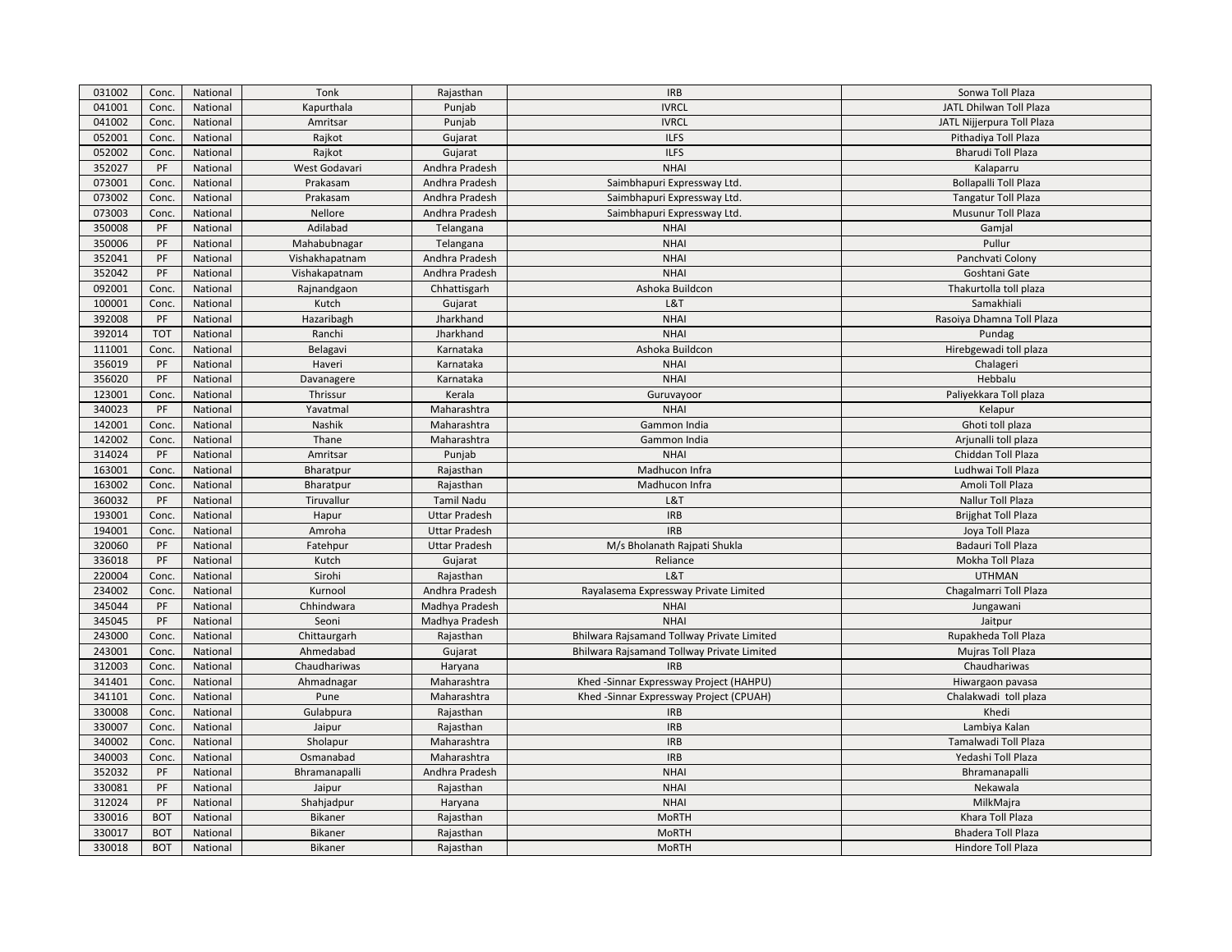| 031002 | Conc.      | National | Tonk           | Rajasthan            | <b>IRB</b>                                 | Sonwa Toll Plaza             |
|--------|------------|----------|----------------|----------------------|--------------------------------------------|------------------------------|
| 041001 | Conc.      | National | Kapurthala     | Punjab               | <b>IVRCL</b>                               | JATL Dhilwan Toll Plaza      |
| 041002 | Conc.      | National | Amritsar       | Punjab               | <b>IVRCL</b>                               | JATL Nijjerpura Toll Plaza   |
| 052001 | Conc.      | National | Rajkot         | Gujarat              | <b>ILFS</b>                                | Pithadiya Toll Plaza         |
| 052002 | Conc.      | National | Rajkot         | Gujarat              | <b>ILFS</b>                                | <b>Bharudi Toll Plaza</b>    |
| 352027 | PF         | National | West Godavari  | Andhra Pradesh       | <b>NHAI</b>                                | Kalaparru                    |
| 073001 | Conc.      | National | Prakasam       | Andhra Pradesh       | Saimbhapuri Expressway Ltd.                | <b>Bollapalli Toll Plaza</b> |
| 073002 | Conc.      | National | Prakasam       | Andhra Pradesh       | Saimbhapuri Expressway Ltd.                | <b>Tangatur Toll Plaza</b>   |
| 073003 | Conc.      | National | Nellore        | Andhra Pradesh       | Saimbhapuri Expressway Ltd.                | Musunur Toll Plaza           |
| 350008 | PF         | National | Adilabad       | Telangana            | <b>NHAI</b>                                | Gamjal                       |
| 350006 | PF         | National | Mahabubnagar   | Telangana            | <b>NHAI</b>                                | Pullur                       |
| 352041 | PF         | National | Vishakhapatnam | Andhra Pradesh       | <b>NHAI</b>                                | Panchvati Colony             |
| 352042 | PF         | National | Vishakapatnam  | Andhra Pradesh       | <b>NHAI</b>                                | Goshtani Gate                |
| 092001 | Conc.      | National | Rajnandgaon    | Chhattisgarh         | Ashoka Buildcon                            | Thakurtolla toll plaza       |
| 100001 | Conc.      | National | Kutch          | Gujarat              | L&T                                        | Samakhiali                   |
| 392008 | PF         | National | Hazaribagh     | Jharkhand            | <b>NHAI</b>                                | Rasoiya Dhamna Toll Plaza    |
| 392014 | <b>TOT</b> | National | Ranchi         | Jharkhand            | <b>NHAI</b>                                | Pundag                       |
| 111001 | Conc.      | National | Belagavi       | Karnataka            | Ashoka Buildcon                            | Hirebgewadi toll plaza       |
| 356019 | PF         | National | Haveri         | Karnataka            | <b>NHAI</b>                                | Chalageri                    |
| 356020 | PF         | National | Davanagere     | Karnataka            | <b>NHAI</b>                                | Hebbalu                      |
| 123001 | Conc.      | National | Thrissur       | Kerala               | Guruvayoor                                 | Paliyekkara Toll plaza       |
| 340023 | PF         | National | Yavatmal       | Maharashtra          | <b>NHAI</b>                                | Kelapur                      |
| 142001 | Conc.      | National | Nashik         | Maharashtra          | Gammon India                               | Ghoti toll plaza             |
| 142002 | Conc.      | National | Thane          | Maharashtra          | Gammon India                               | Arjunalli toll plaza         |
| 314024 | PF         | National | Amritsar       | Punjab               | <b>NHAI</b>                                | Chiddan Toll Plaza           |
| 163001 | Conc.      | National | Bharatpur      | Rajasthan            | Madhucon Infra                             | Ludhwai Toll Plaza           |
| 163002 | Conc.      | National | Bharatpur      | Rajasthan            | Madhucon Infra                             | Amoli Toll Plaza             |
| 360032 | PF         | National | Tiruvallur     | Tamil Nadu           | L&T                                        | Nallur Toll Plaza            |
| 193001 | Conc.      | National | Hapur          | <b>Uttar Pradesh</b> | <b>IRB</b>                                 | <b>Brijghat Toll Plaza</b>   |
| 194001 | Conc.      | National | Amroha         | <b>Uttar Pradesh</b> | <b>IRB</b>                                 | Joya Toll Plaza              |
| 320060 | PF         | National | Fatehpur       | <b>Uttar Pradesh</b> | M/s Bholanath Rajpati Shukla               | <b>Badauri Toll Plaza</b>    |
| 336018 | PF         | National | Kutch          | Gujarat              | Reliance                                   | Mokha Toll Plaza             |
| 220004 | Conc.      | National | Sirohi         | Rajasthan            | L&T                                        | <b>UTHMAN</b>                |
| 234002 | Conc.      | National | Kurnool        | Andhra Pradesh       | Rayalasema Expressway Private Limited      | Chagalmarri Toll Plaza       |
| 345044 | PF         | National | Chhindwara     | Madhya Pradesh       | <b>NHAI</b>                                | Jungawani                    |
| 345045 | PF         | National | Seoni          | Madhya Pradesh       | <b>NHAI</b>                                | Jaitpur                      |
| 243000 | Conc.      | National | Chittaurgarh   | Rajasthan            | Bhilwara Rajsamand Tollway Private Limited | Rupakheda Toll Plaza         |
| 243001 | Conc.      | National | Ahmedabad      | Gujarat              | Bhilwara Rajsamand Tollway Private Limited | Mujras Toll Plaza            |
| 312003 | Conc.      | National | Chaudhariwas   | Haryana              | <b>IRB</b>                                 | Chaudhariwas                 |
| 341401 | Conc.      | National | Ahmadnagar     | Maharashtra          | Khed -Sinnar Expressway Project (HAHPU)    | Hiwargaon pavasa             |
| 341101 | Conc.      | National | Pune           | Maharashtra          | Khed-Sinnar Expressway Project (CPUAH)     | Chalakwadi toll plaza        |
| 330008 | Conc.      | National | Gulabpura      | Rajasthan            | <b>IRB</b>                                 | Khedi                        |
| 330007 | Conc.      | National | Jaipur         | Rajasthan            | <b>IRB</b>                                 | Lambiya Kalan                |
| 340002 | Conc.      | National | Sholapur       | Maharashtra          | <b>IRB</b>                                 | Tamalwadi Toll Plaza         |
| 340003 | Conc.      | National | Osmanabad      | Maharashtra          | <b>IRB</b>                                 | Yedashi Toll Plaza           |
| 352032 | PF         | National | Bhramanapalli  | Andhra Pradesh       | <b>NHAI</b>                                | Bhramanapalli                |
| 330081 | PF         | National | Jaipur         | Rajasthan            | <b>NHAI</b>                                | Nekawala                     |
| 312024 | PF         | National | Shahjadpur     | Haryana              | <b>NHAI</b>                                | MilkMajra                    |
| 330016 | <b>BOT</b> | National | Bikaner        | Rajasthan            | <b>MoRTH</b>                               | Khara Toll Plaza             |
| 330017 | <b>BOT</b> | National | <b>Bikaner</b> | Rajasthan            | <b>MoRTH</b>                               | <b>Bhadera Toll Plaza</b>    |
| 330018 | <b>BOT</b> | National | Bikaner        | Rajasthan            | <b>MoRTH</b>                               | Hindore Toll Plaza           |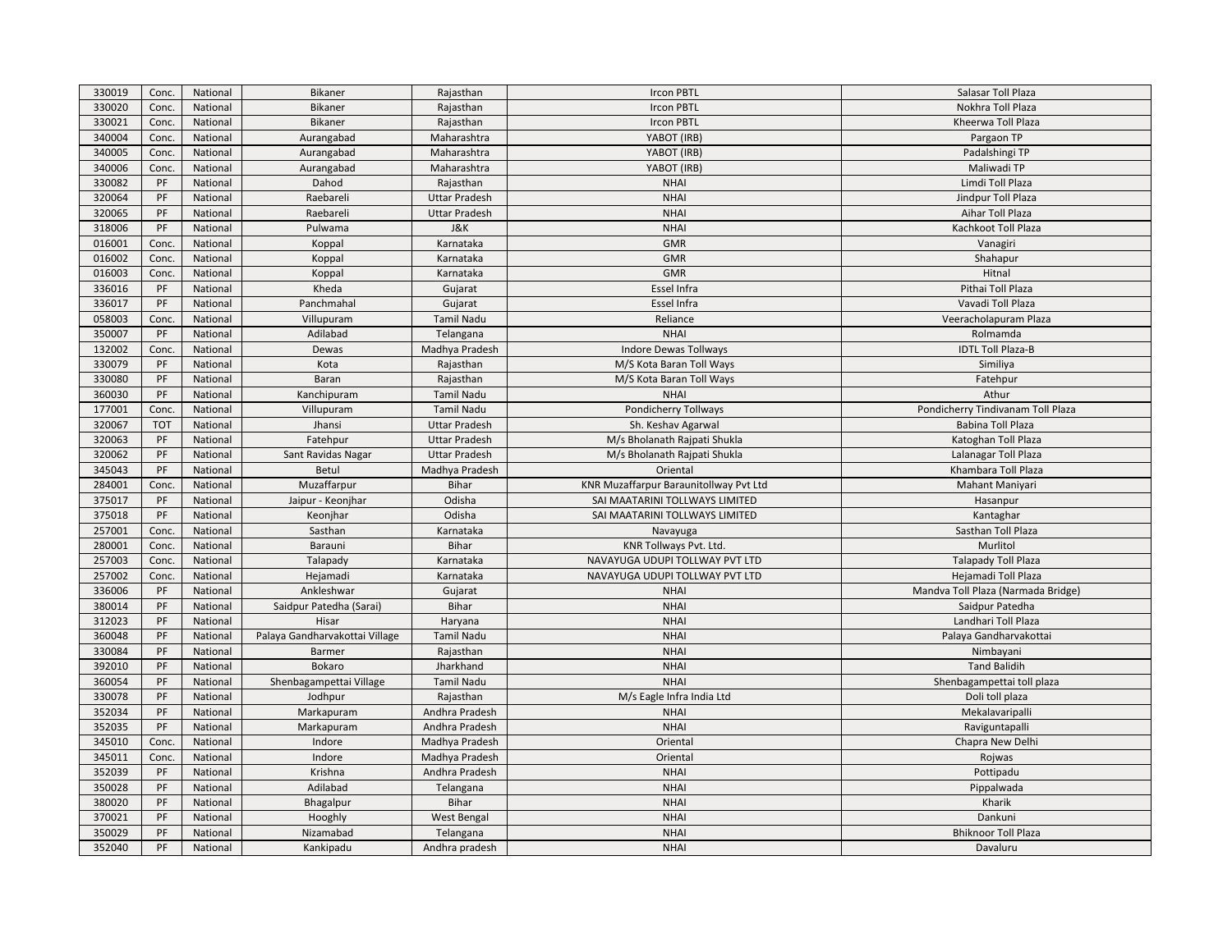| 330019           | Conc.       | National             | Bikaner                        | Rajasthan                        | <b>Ircon PBTL</b>                      | Salasar Toll Plaza                 |
|------------------|-------------|----------------------|--------------------------------|----------------------------------|----------------------------------------|------------------------------------|
| 330020           | Conc.       | National             | Bikaner                        | Rajasthan                        | Ircon PBTL                             | Nokhra Toll Plaza                  |
| 330021           | Conc.       | National             | Bikaner                        | Rajasthan                        | Ircon PBTL                             | Kheerwa Toll Plaza                 |
| 340004           | Conc.       | National             | Aurangabad                     | Maharashtra                      | YABOT (IRB)                            | Pargaon TP                         |
| 340005           | Conc.       | National             | Aurangabad                     | Maharashtra                      | YABOT (IRB)                            | Padalshingi TP                     |
| 340006           | Conc.       | National             | Aurangabad                     | Maharashtra                      | YABOT (IRB)                            | Maliwadi TP                        |
| 330082           | PF          | National             | Dahod                          | Rajasthan                        | <b>NHAI</b>                            | Limdi Toll Plaza                   |
| 320064           | PF          | National             | Raebareli                      | <b>Uttar Pradesh</b>             | <b>NHAI</b>                            | Jindpur Toll Plaza                 |
| 320065           | PF          | National             | Raebareli                      | <b>Uttar Pradesh</b>             | <b>NHAI</b>                            | Aihar Toll Plaza                   |
| 318006           | PF          | National             | Pulwama                        | <b>J&amp;K</b>                   | <b>NHAI</b>                            | Kachkoot Toll Plaza                |
| 016001           | Conc.       | National             | Koppal                         | Karnataka                        | <b>GMR</b>                             | Vanagiri                           |
| 016002           | Conc.       | National             | Koppal                         | Karnataka                        | <b>GMR</b>                             | Shahapur                           |
| 016003           | Conc.       | National             | Koppal                         | Karnataka                        | <b>GMR</b>                             | Hitnal                             |
| 336016           | PF          | National             | Kheda                          | Gujarat                          | Essel Infra                            | Pithai Toll Plaza                  |
| 336017           | PF          | National             | Panchmahal                     | Gujarat                          | Essel Infra                            | Vavadi Toll Plaza                  |
| 058003           | Conc.       | National             | Villupuram                     | <b>Tamil Nadu</b>                | Reliance                               | Veeracholapuram Plaza              |
| 350007           | PF          | National             | Adilabad                       | Telangana                        | <b>NHAI</b>                            | Rolmamda                           |
| 132002           | Conc.       | National             | Dewas                          | Madhya Pradesh                   | Indore Dewas Tollways                  | <b>IDTL Toll Plaza-B</b>           |
| 330079           | PF          | National             | Kota                           | Rajasthan                        | M/S Kota Baran Toll Ways               | Similiya                           |
| 330080           | PF          | National             | Baran                          | Rajasthan                        | M/S Kota Baran Toll Ways               | Fatehpur                           |
| 360030           | PF          | National             | Kanchipuram                    | <b>Tamil Nadu</b>                | <b>NHAI</b>                            | Athur                              |
| 177001           | Conc.       | National             | Villupuram                     | <b>Tamil Nadu</b>                | Pondicherry Tollways                   | Pondicherry Tindivanam Toll Plaza  |
| 320067           | <b>TOT</b>  | National             | Jhansi                         | <b>Uttar Pradesh</b>             | Sh. Keshav Agarwal                     | <b>Babina Toll Plaza</b>           |
| 320063           | PF          | National             | Fatehpur                       | <b>Uttar Pradesh</b>             | M/s Bholanath Rajpati Shukla           | Katoghan Toll Plaza                |
| 320062           | PF          | National             | Sant Ravidas Nagar             | <b>Uttar Pradesh</b>             | M/s Bholanath Rajpati Shukla           | Lalanagar Toll Plaza               |
| 345043           | PF          | National             | <b>Betul</b>                   | Madhya Pradesh                   | Oriental                               | Khambara Toll Plaza                |
| 284001           | Conc.       | National             | Muzaffarpur                    | <b>Bihar</b>                     | KNR Muzaffarpur Baraunitollway Pvt Ltd | Mahant Maniyari                    |
| 375017           | PF          | National             | Jaipur - Keonjhar              | Odisha                           | SAI MAATARINI TOLLWAYS LIMITED         | Hasanpur                           |
| 375018           | PF          | National             | Keonjhar                       | Odisha                           | SAI MAATARINI TOLLWAYS LIMITED         | Kantaghar                          |
| 257001           | Conc.       | National             | Sasthan                        | Karnataka                        | Navayuga                               | Sasthan Toll Plaza                 |
| 280001           | Conc.       | National             | Barauni                        | <b>Bihar</b>                     | KNR Tollways Pvt. Ltd.                 | Murlitol                           |
| 257003           | Conc.       | National             | Talapady                       | Karnataka                        | NAVAYUGA UDUPI TOLLWAY PVT LTD         | <b>Talapady Toll Plaza</b>         |
| 257002           | Conc.       | National             | Hejamadi                       | Karnataka                        | NAVAYUGA UDUPI TOLLWAY PVT LTD         | Hejamadi Toll Plaza                |
| 336006           | PF          | National             | Ankleshwar                     | Gujarat                          | <b>NHAI</b>                            | Mandva Toll Plaza (Narmada Bridge) |
| 380014           | PF          | National             | Saidpur Patedha (Sarai)        | Bihar                            | <b>NHAI</b>                            | Saidpur Patedha                    |
| 312023           | PF          | National             | Hisar                          | Haryana                          | <b>NHAI</b>                            | Landhari Toll Plaza                |
| 360048           | PF          | National             | Palaya Gandharvakottai Village | <b>Tamil Nadu</b>                | <b>NHAI</b>                            | Palaya Gandharvakottai             |
| 330084           | PF          | National             | Barmer                         | Rajasthan                        | <b>NHAI</b>                            | Nimbayani                          |
| 392010           | PF          | National             | Bokaro                         | Jharkhand                        | <b>NHAI</b>                            | <b>Tand Balidih</b>                |
| 360054           | PF          | National             | Shenbagampettai Village        | <b>Tamil Nadu</b>                | <b>NHAI</b>                            | Shenbagampettai toll plaza         |
| 330078           | PF          | National             | Jodhpur                        | Rajasthan                        | M/s Eagle Infra India Ltd              | Doli toll plaza                    |
| 352034           | PF          | National             | Markapuram                     | Andhra Pradesh                   | <b>NHAI</b>                            | Mekalavaripalli                    |
| 352035           | PF          |                      |                                | Andhra Pradesh                   | <b>NHAI</b>                            |                                    |
|                  |             | National             | Markapuram                     |                                  |                                        | Raviguntapalli                     |
| 345010           | Conc.       | National             | Indore                         | Madhya Pradesh                   | Oriental                               | Chapra New Delhi                   |
| 345011<br>352039 | Conc.<br>PF | National<br>National | Indore<br>Krishna              | Madhya Pradesh<br>Andhra Pradesh | Oriental<br><b>NHAI</b>                | Rojwas<br>Pottipadu                |
|                  |             |                      |                                |                                  |                                        |                                    |
| 350028           | PF          | National             | Adilabad                       | Telangana                        | <b>NHAI</b><br><b>NHAI</b>             | Pippalwada                         |
| 380020           | PF          | National             | Bhagalpur                      | Bihar                            |                                        | Kharik                             |
| 370021<br>350029 | PF          | National             | Hooghly                        | West Bengal                      | <b>NHAI</b>                            | Dankuni                            |
|                  | PF          | National             | Nizamabad                      | Telangana                        | <b>NHAI</b>                            | <b>Bhiknoor Toll Plaza</b>         |
| 352040           | PF          | National             | Kankipadu                      | Andhra pradesh                   | <b>NHAI</b>                            | Davaluru                           |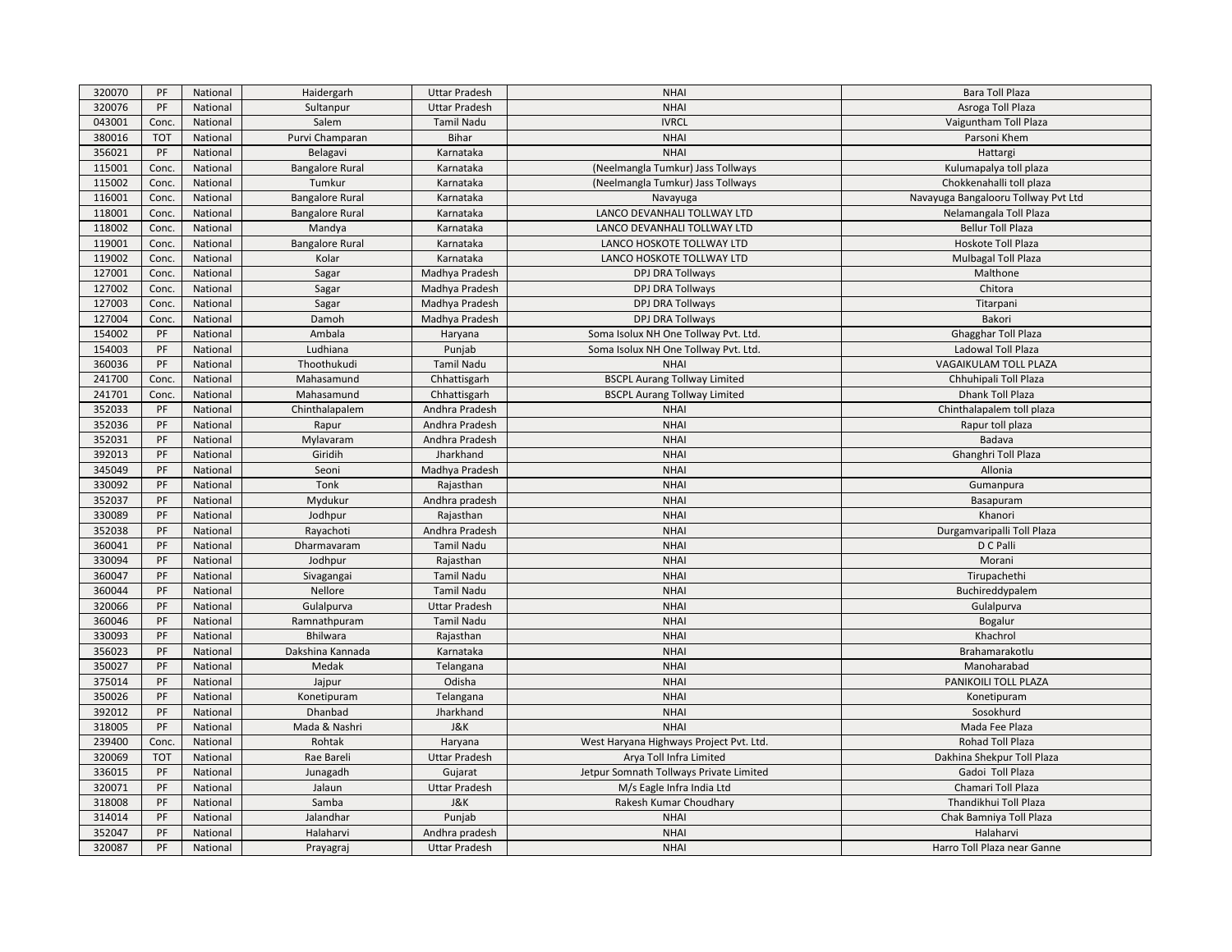| 320070 | PF         | National | Haidergarh             | <b>Uttar Pradesh</b> | <b>NHAI</b>                             | Bara Toll Plaza                     |
|--------|------------|----------|------------------------|----------------------|-----------------------------------------|-------------------------------------|
| 320076 | PF         | National | Sultanpur              | <b>Uttar Pradesh</b> | <b>NHAI</b>                             | Asroga Toll Plaza                   |
| 043001 | Conc.      | National | Salem                  | Tamil Nadu           | <b>IVRCL</b>                            | Vaiguntham Toll Plaza               |
| 380016 | <b>TOT</b> | National | Purvi Champaran        | Bihar                | <b>NHAI</b>                             | Parsoni Khem                        |
| 356021 | PF         | National | Belagavi               | Karnataka            | <b>NHAI</b>                             | Hattargi                            |
| 115001 | Conc.      | National | <b>Bangalore Rural</b> | Karnataka            | (Neelmangla Tumkur) Jass Tollways       | Kulumapalya toll plaza              |
| 115002 | Conc.      | National | Tumkur                 | Karnataka            | (Neelmangla Tumkur) Jass Tollways       | Chokkenahalli toll plaza            |
| 116001 | Conc.      | National | <b>Bangalore Rural</b> | Karnataka            | Navayuga                                | Navayuga Bangalooru Tollway Pvt Ltd |
| 118001 | Conc.      | National | <b>Bangalore Rural</b> | Karnataka            | LANCO DEVANHALI TOLLWAY LTD             | Nelamangala Toll Plaza              |
| 118002 | Conc.      | National | Mandya                 | Karnataka            | LANCO DEVANHALI TOLLWAY LTD             | <b>Bellur Toll Plaza</b>            |
| 119001 | Conc.      | National | <b>Bangalore Rural</b> | Karnataka            | LANCO HOSKOTE TOLLWAY LTD               | Hoskote Toll Plaza                  |
| 119002 | Conc.      | National | Kolar                  | Karnataka            | LANCO HOSKOTE TOLLWAY LTD               | <b>Mulbagal Toll Plaza</b>          |
| 127001 | Conc.      | National | Sagar                  | Madhya Pradesh       | DPJ DRA Tollways                        | Malthone                            |
| 127002 | Conc.      | National | Sagar                  | Madhya Pradesh       | DPJ DRA Tollways                        | Chitora                             |
| 127003 | Conc.      | National | Sagar                  | Madhya Pradesh       | DPJ DRA Tollways                        | Titarpani                           |
| 127004 | Conc.      | National | Damoh                  | Madhya Pradesh       | DPJ DRA Tollways                        | Bakori                              |
| 154002 | PF         | National | Ambala                 | Haryana              | Soma Isolux NH One Tollway Pvt. Ltd.    | Ghagghar Toll Plaza                 |
| 154003 | PF         | National | Ludhiana               | Punjab               | Soma Isolux NH One Tollway Pvt. Ltd.    | Ladowal Toll Plaza                  |
| 360036 | PF         | National | Thoothukudi            | Tamil Nadu           | <b>NHAI</b>                             | VAGAIKULAM TOLL PLAZA               |
| 241700 | Conc.      | National | Mahasamund             | Chhattisgarh         | <b>BSCPL Aurang Tollway Limited</b>     | Chhuhipali Toll Plaza               |
| 241701 | Conc.      | National | Mahasamund             | Chhattisgarh         | <b>BSCPL Aurang Tollway Limited</b>     | Dhank Toll Plaza                    |
| 352033 | PF         | National | Chinthalapalem         | Andhra Pradesh       | <b>NHAI</b>                             | Chinthalapalem toll plaza           |
| 352036 | PF         | National | Rapur                  | Andhra Pradesh       | <b>NHAI</b>                             | Rapur toll plaza                    |
| 352031 | PF         | National | Mylavaram              | Andhra Pradesh       | <b>NHAI</b>                             | Badava                              |
| 392013 | PF         | National | Giridih                | Jharkhand            | <b>NHAI</b>                             | Ghanghri Toll Plaza                 |
| 345049 | PF         | National | Seoni                  | Madhya Pradesh       | <b>NHAI</b>                             | Allonia                             |
| 330092 | PF         | National | Tonk                   | Rajasthan            | <b>NHAI</b>                             | Gumanpura                           |
| 352037 | PF         | National | Mydukur                | Andhra pradesh       | <b>NHAI</b>                             | Basapuram                           |
| 330089 | PF         | National | Jodhpur                | Rajasthan            | <b>NHAI</b>                             | Khanori                             |
| 352038 | PF         | National | Rayachoti              | Andhra Pradesh       | <b>NHAI</b>                             | Durgamvaripalli Toll Plaza          |
| 360041 | PF         | National | Dharmavaram            | <b>Tamil Nadu</b>    | <b>NHAI</b>                             | D C Palli                           |
| 330094 | PF         | National | Jodhpur                | Rajasthan            | <b>NHAI</b>                             | Morani                              |
| 360047 | PF         | National | Sivagangai             | <b>Tamil Nadu</b>    | <b>NHAI</b>                             | Tirupachethi                        |
| 360044 | PF         | National | Nellore                | Tamil Nadu           | <b>NHAI</b>                             | Buchireddypalem                     |
| 320066 | PF         | National | Gulalpurva             | <b>Uttar Pradesh</b> | <b>NHAI</b>                             | Gulalpurva                          |
| 360046 | PF         | National | Ramnathpuram           | <b>Tamil Nadu</b>    | <b>NHAI</b>                             | Bogalur                             |
| 330093 | PF         | National | <b>Bhilwara</b>        | Rajasthan            | <b>NHAI</b>                             | Khachrol                            |
| 356023 | PF         | National | Dakshina Kannada       | Karnataka            | <b>NHAI</b>                             | Brahamarakotlu                      |
| 350027 | PF         | National | Medak                  | Telangana            | <b>NHAI</b>                             | Manoharabad                         |
| 375014 | PF         | National | Jajpur                 | Odisha               | <b>NHAI</b>                             | PANIKOILI TOLL PLAZA                |
| 350026 | PF         | National | Konetipuram            | Telangana            | <b>NHAI</b>                             | Konetipuram                         |
| 392012 | PF         | National | Dhanbad                | Jharkhand            | <b>NHAI</b>                             | Sosokhurd                           |
| 318005 | PF         | National | Mada & Nashri          | J&K                  | <b>NHAI</b>                             | Mada Fee Plaza                      |
| 239400 | Conc.      | National | Rohtak                 | Haryana              | West Haryana Highways Project Pvt. Ltd. | Rohad Toll Plaza                    |
| 320069 | <b>TOT</b> | National | Rae Bareli             | <b>Uttar Pradesh</b> | Arya Toll Infra Limited                 | Dakhina Shekpur Toll Plaza          |
| 336015 | PF         | National | Junagadh               | Gujarat              | Jetpur Somnath Tollways Private Limited | Gadoi Toll Plaza                    |
| 320071 | PF         | National | Jalaun                 | <b>Uttar Pradesh</b> | M/s Eagle Infra India Ltd               | Chamari Toll Plaza                  |
| 318008 | PF         | National | Samba                  | J&K                  | Rakesh Kumar Choudhary                  | Thandikhui Toll Plaza               |
| 314014 | PF         | National | Jalandhar              | Punjab               | <b>NHAI</b>                             | Chak Bamniya Toll Plaza             |
| 352047 | PF         | National | Halaharvi              | Andhra pradesh       | <b>NHAI</b>                             | Halaharvi                           |
| 320087 | PF         | National | Prayagraj              | <b>Uttar Pradesh</b> | <b>NHAI</b>                             | Harro Toll Plaza near Ganne         |
|        |            |          |                        |                      |                                         |                                     |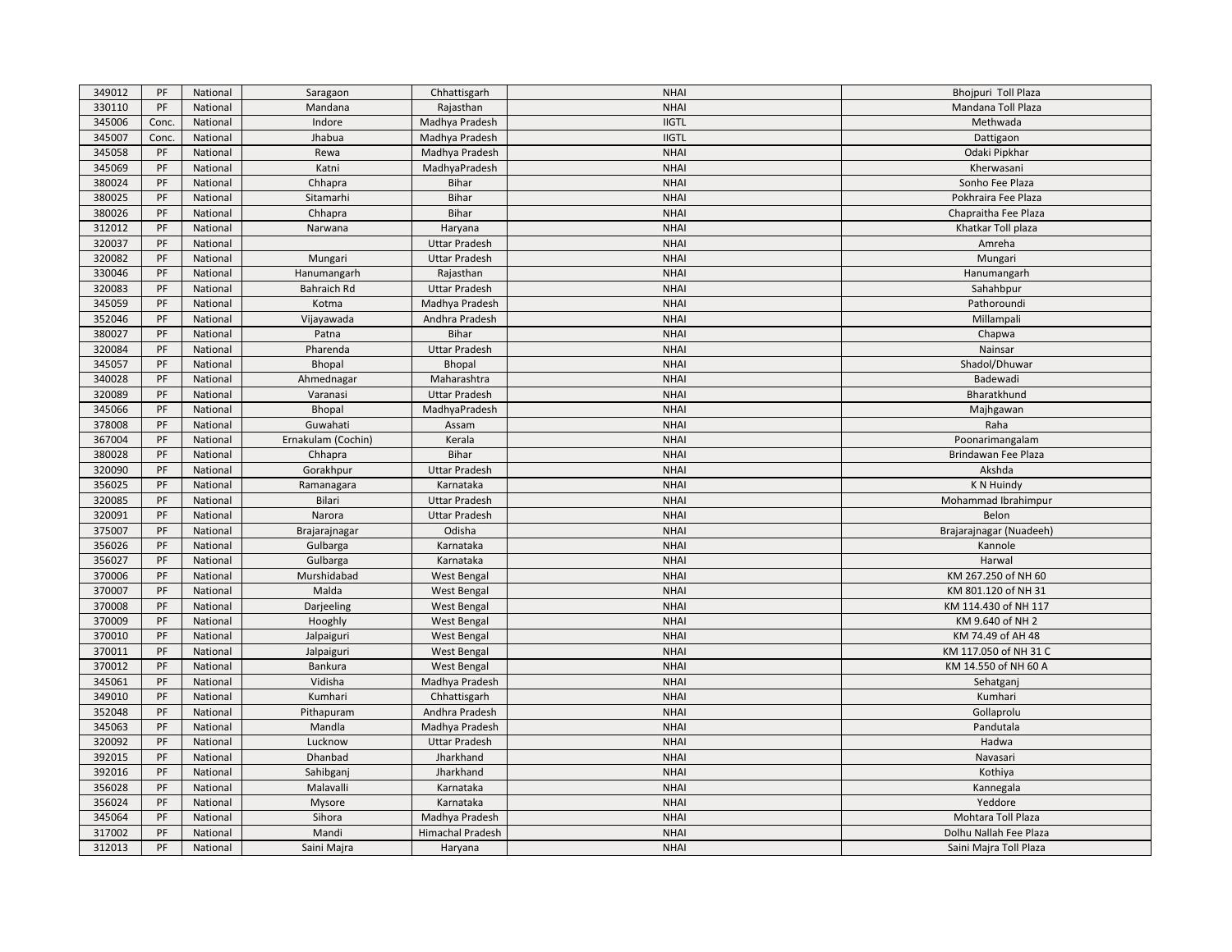| 349012 | PF    | National | Saragaon           | Chhattisgarh         | <b>NHAI</b>  | Bhojpuri Toll Plaza     |
|--------|-------|----------|--------------------|----------------------|--------------|-------------------------|
| 330110 | PF    | National | Mandana            | Rajasthan            | <b>NHAI</b>  | Mandana Toll Plaza      |
| 345006 | Conc. | National | Indore             | Madhya Pradesh       | <b>IIGTL</b> | Methwada                |
| 345007 | Conc. | National | Jhabua             | Madhya Pradesh       | <b>IIGTL</b> | Dattigaon               |
| 345058 | PF    | National | Rewa               | Madhya Pradesh       | <b>NHAI</b>  | Odaki Pipkhar           |
| 345069 | PF    | National | Katni              | MadhyaPradesh        | <b>NHAI</b>  | Kherwasani              |
| 380024 | PF    | National | Chhapra            | Bihar                | <b>NHAI</b>  | Sonho Fee Plaza         |
| 380025 | PF    | National | Sitamarhi          | Bihar                | <b>NHAI</b>  | Pokhraira Fee Plaza     |
| 380026 | PF    | National | Chhapra            | Bihar                | <b>NHAI</b>  | Chapraitha Fee Plaza    |
| 312012 | PF    | National | Narwana            | Haryana              | <b>NHAI</b>  | Khatkar Toll plaza      |
| 320037 | PF    | National |                    | <b>Uttar Pradesh</b> | <b>NHAI</b>  | Amreha                  |
| 320082 | PF    | National | Mungari            | <b>Uttar Pradesh</b> | <b>NHAI</b>  | Mungari                 |
| 330046 | PF    | National | Hanumangarh        | Rajasthan            | <b>NHAI</b>  | Hanumangarh             |
| 320083 | PF    | National | Bahraich Rd        | <b>Uttar Pradesh</b> | <b>NHAI</b>  | Sahahbpur               |
| 345059 | PF    | National | Kotma              | Madhya Pradesh       | <b>NHAI</b>  | Pathoroundi             |
| 352046 | PF    | National | Vijayawada         | Andhra Pradesh       | <b>NHAI</b>  | Millampali              |
| 380027 | PF    | National | Patna              | Bihar                | <b>NHAI</b>  | Chapwa                  |
| 320084 | PF    | National | Pharenda           | <b>Uttar Pradesh</b> | <b>NHAI</b>  | Nainsar                 |
| 345057 | PF    | National | Bhopal             | Bhopal               | <b>NHAI</b>  | Shadol/Dhuwar           |
| 340028 | PF    | National | Ahmednagar         | Maharashtra          | <b>NHAI</b>  | Badewadi                |
| 320089 | PF    | National | Varanasi           | <b>Uttar Pradesh</b> | <b>NHAI</b>  | Bharatkhund             |
| 345066 | PF    | National | Bhopal             | MadhyaPradesh        | <b>NHAI</b>  | Majhgawan               |
| 378008 | PF    | National | Guwahati           | Assam                | <b>NHAI</b>  | Raha                    |
| 367004 | PF    | National | Ernakulam (Cochin) | Kerala               | <b>NHAI</b>  | Poonarimangalam         |
| 380028 | PF    | National | Chhapra            | <b>Bihar</b>         | <b>NHAI</b>  | Brindawan Fee Plaza     |
| 320090 | PF    | National | Gorakhpur          | <b>Uttar Pradesh</b> | <b>NHAI</b>  | Akshda                  |
| 356025 | PF    | National | Ramanagara         | Karnataka            | <b>NHAI</b>  | K N Huindy              |
| 320085 | PF    | National | Bilari             | <b>Uttar Pradesh</b> | <b>NHAI</b>  | Mohammad Ibrahimpur     |
| 320091 | PF    | National | Narora             | <b>Uttar Pradesh</b> | <b>NHAI</b>  | Belon                   |
| 375007 | PF    | National | Brajarajnagar      | Odisha               | <b>NHAI</b>  | Brajarajnagar (Nuadeeh) |
| 356026 | PF    | National | Gulbarga           | Karnataka            | <b>NHAI</b>  | Kannole                 |
| 356027 | PF    | National | Gulbarga           | Karnataka            | <b>NHAI</b>  | Harwal                  |
| 370006 | PF    | National | Murshidabad        | West Bengal          | <b>NHAI</b>  | KM 267.250 of NH 60     |
| 370007 | PF    | National | Malda              | <b>West Bengal</b>   | <b>NHAI</b>  | KM 801.120 of NH 31     |
| 370008 | PF    | National | Darjeeling         | West Bengal          | <b>NHAI</b>  | KM 114.430 of NH 117    |
| 370009 | PF    | National | Hooghly            | West Bengal          | <b>NHAI</b>  | KM 9.640 of NH 2        |
| 370010 | PF    | National | Jalpaiguri         | <b>West Bengal</b>   | <b>NHAI</b>  | KM 74.49 of AH 48       |
| 370011 | PF    | National | Jalpaiguri         | <b>West Bengal</b>   | <b>NHAI</b>  | KM 117.050 of NH 31 C   |
| 370012 | PF    | National | Bankura            | <b>West Bengal</b>   | <b>NHAI</b>  | KM 14.550 of NH 60 A    |
| 345061 | PF    | National | Vidisha            | Madhya Pradesh       | <b>NHAI</b>  | Sehatganj               |
| 349010 | PF    | National | Kumhari            | Chhattisgarh         | <b>NHAI</b>  | Kumhari                 |
| 352048 | PF    | National | Pithapuram         | Andhra Pradesh       | <b>NHAI</b>  | Gollaprolu              |
| 345063 | PF    | National | Mandla             | Madhya Pradesh       | <b>NHAI</b>  | Pandutala               |
| 320092 | PF    | National | Lucknow            | <b>Uttar Pradesh</b> | <b>NHAI</b>  | Hadwa                   |
| 392015 | PF    | National | Dhanbad            | Jharkhand            | <b>NHAI</b>  | Navasari                |
| 392016 | PF    | National | Sahibganj          | Jharkhand            | <b>NHAI</b>  | Kothiya                 |
| 356028 | PF    | National | Malavalli          | Karnataka            | <b>NHAI</b>  | Kannegala               |
| 356024 | PF    | National | Mysore             | Karnataka            | <b>NHAI</b>  | Yeddore                 |
| 345064 | PF    | National | Sihora             | Madhya Pradesh       | <b>NHAI</b>  | Mohtara Toll Plaza      |
| 317002 | PF    | National | Mandi              | Himachal Pradesh     | <b>NHAI</b>  | Dolhu Nallah Fee Plaza  |
| 312013 | PF    | National | Saini Majra        | Haryana              | <b>NHAI</b>  | Saini Majra Toll Plaza  |
|        |       |          |                    |                      |              |                         |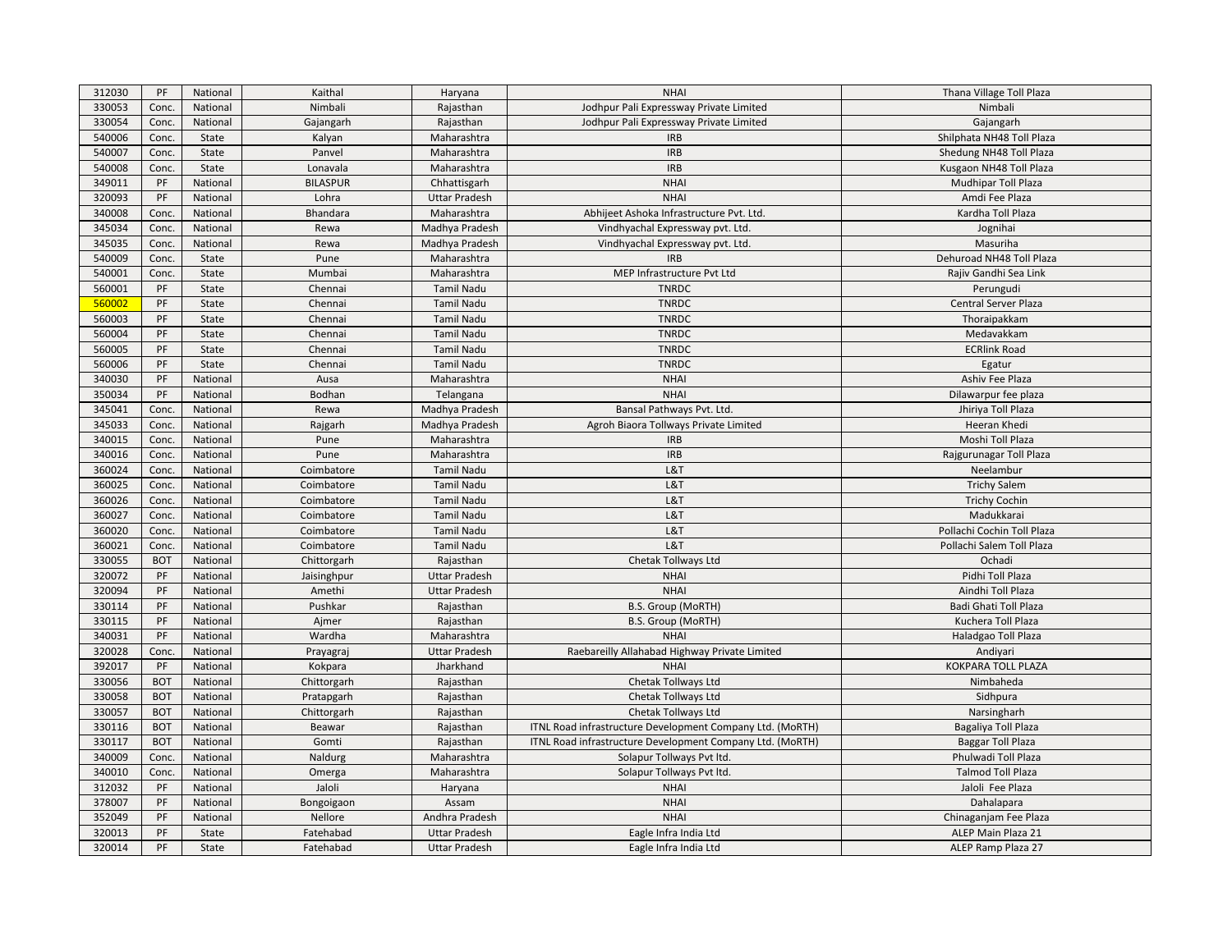| 312030 | PF         | National | Kaithal         | Haryana              | <b>NHAI</b>                                               | Thana Village Toll Plaza   |
|--------|------------|----------|-----------------|----------------------|-----------------------------------------------------------|----------------------------|
| 330053 | Conc.      | National | Nimbali         | Rajasthan            | Jodhpur Pali Expressway Private Limited                   | Nimbali                    |
| 330054 | Conc.      | National | Gajangarh       | Rajasthan            | Jodhpur Pali Expressway Private Limited                   | Gajangarh                  |
| 540006 | Conc.      | State    | Kalyan          | Maharashtra          | <b>IRB</b>                                                | Shilphata NH48 Toll Plaza  |
| 540007 | Conc.      | State    | Panvel          | Maharashtra          | <b>IRB</b>                                                | Shedung NH48 Toll Plaza    |
| 540008 | Conc.      | State    | Lonavala        | Maharashtra          | <b>IRB</b>                                                | Kusgaon NH48 Toll Plaza    |
| 349011 | PF         | National | <b>BILASPUR</b> | Chhattisgarh         | <b>NHAI</b>                                               | Mudhipar Toll Plaza        |
| 320093 | PF         | National | Lohra           | <b>Uttar Pradesh</b> | <b>NHAI</b>                                               | Amdi Fee Plaza             |
| 340008 | Conc.      | National | Bhandara        | Maharashtra          | Abhijeet Ashoka Infrastructure Pvt. Ltd.                  | Kardha Toll Plaza          |
| 345034 | Conc.      | National | Rewa            | Madhya Pradesh       | Vindhyachal Expressway pvt. Ltd.                          | Jognihai                   |
| 345035 | Conc.      | National | Rewa            | Madhya Pradesh       | Vindhyachal Expressway pvt. Ltd.                          | Masuriha                   |
| 540009 | Conc.      | State    | Pune            | Maharashtra          | <b>IRB</b>                                                | Dehuroad NH48 Toll Plaza   |
| 540001 | Conc.      | State    | Mumbai          | Maharashtra          | MEP Infrastructure Pvt Ltd                                | Rajiv Gandhi Sea Link      |
| 560001 | PF         | State    | Chennai         | Tamil Nadu           | <b>TNRDC</b>                                              | Perungudi                  |
| 560002 | PF         | State    | Chennai         | <b>Tamil Nadu</b>    | <b>TNRDC</b>                                              | Central Server Plaza       |
| 560003 | PF         | State    | Chennai         | Tamil Nadu           | <b>TNRDC</b>                                              | Thoraipakkam               |
| 560004 | PF         | State    | Chennai         | <b>Tamil Nadu</b>    | <b>TNRDC</b>                                              | Medavakkam                 |
| 560005 | PF         | State    | Chennai         | Tamil Nadu           | <b>TNRDC</b>                                              | <b>ECRlink Road</b>        |
| 560006 | PF         | State    | Chennai         | <b>Tamil Nadu</b>    | <b>TNRDC</b>                                              | Egatur                     |
| 340030 | PF         | National | Ausa            | Maharashtra          | <b>NHAI</b>                                               | Ashiv Fee Plaza            |
| 350034 | PF         | National | Bodhan          | Telangana            | <b>NHAI</b>                                               | Dilawarpur fee plaza       |
| 345041 | Conc.      | National | Rewa            | Madhya Pradesh       | Bansal Pathways Pvt. Ltd.                                 | Jhiriya Toll Plaza         |
| 345033 | Conc.      | National | Rajgarh         | Madhya Pradesh       | Agroh Biaora Tollways Private Limited                     | Heeran Khedi               |
| 340015 | Conc.      | National | Pune            | Maharashtra          | <b>IRB</b>                                                | Moshi Toll Plaza           |
| 340016 | Conc.      | National | Pune            | Maharashtra          | <b>IRB</b>                                                | Rajgurunagar Toll Plaza    |
| 360024 | Conc.      | National | Coimbatore      | <b>Tamil Nadu</b>    | L&T                                                       | Neelambur                  |
| 360025 | Conc.      | National | Coimbatore      | <b>Tamil Nadu</b>    | L&T                                                       | <b>Trichy Salem</b>        |
| 360026 | Conc.      | National | Coimbatore      | Tamil Nadu           | L&T                                                       | <b>Trichy Cochin</b>       |
| 360027 | Conc.      | National | Coimbatore      | <b>Tamil Nadu</b>    | L&T                                                       | Madukkarai                 |
| 360020 | Conc.      | National | Coimbatore      | Tamil Nadu           | L&T                                                       | Pollachi Cochin Toll Plaza |
| 360021 | Conc.      | National | Coimbatore      | <b>Tamil Nadu</b>    | L&T                                                       | Pollachi Salem Toll Plaza  |
| 330055 | <b>BOT</b> | National | Chittorgarh     | Rajasthan            | Chetak Tollways Ltd                                       | Ochadi                     |
| 320072 | PF         | National | Jaisinghpur     | <b>Uttar Pradesh</b> | <b>NHAI</b>                                               | Pidhi Toll Plaza           |
| 320094 | PF         | National | Amethi          | <b>Uttar Pradesh</b> | <b>NHAI</b>                                               | Aindhi Toll Plaza          |
| 330114 | PF         | National | Pushkar         | Rajasthan            | <b>B.S. Group (MoRTH)</b>                                 | Badi Ghati Toll Plaza      |
| 330115 | PF         | National | Ajmer           | Rajasthan            | B.S. Group (MoRTH)                                        | Kuchera Toll Plaza         |
| 340031 | PF         | National | Wardha          | Maharashtra          | <b>NHAI</b>                                               | Haladgao Toll Plaza        |
| 320028 | Conc.      | National | Prayagraj       | <b>Uttar Pradesh</b> | Raebareilly Allahabad Highway Private Limited             | Andiyari                   |
| 392017 | PF         | National | Kokpara         | Jharkhand            | <b>NHAI</b>                                               | <b>KOKPARA TOLL PLAZA</b>  |
| 330056 | <b>BOT</b> | National | Chittorgarh     | Rajasthan            | Chetak Tollways Ltd                                       | Nimbaheda                  |
| 330058 | <b>BOT</b> | National | Pratapgarh      | Rajasthan            | Chetak Tollways Ltd                                       | Sidhpura                   |
| 330057 | <b>BOT</b> | National | Chittorgarh     | Rajasthan            | Chetak Tollways Ltd                                       | Narsingharh                |
| 330116 | <b>BOT</b> | National | Beawar          | Rajasthan            | ITNL Road infrastructure Development Company Ltd. (MoRTH) | Bagaliya Toll Plaza        |
| 330117 | <b>BOT</b> | National | Gomti           | Rajasthan            | ITNL Road infrastructure Development Company Ltd. (MoRTH) | <b>Baggar Toll Plaza</b>   |
| 340009 | Conc.      | National | Naldurg         | Maharashtra          | Solapur Tollways Pvt ltd.                                 | Phulwadi Toll Plaza        |
| 340010 | Conc.      | National | Omerga          | Maharashtra          | Solapur Tollways Pvt ltd.                                 | <b>Talmod Toll Plaza</b>   |
| 312032 | PF         | National | Jaloli          | Haryana              | <b>NHAI</b>                                               | Jaloli Fee Plaza           |
| 378007 | PF         | National | Bongoigaon      | Assam                | <b>NHAI</b>                                               | Dahalapara                 |
| 352049 | PF         | National | Nellore         | Andhra Pradesh       | <b>NHAI</b>                                               | Chinaganjam Fee Plaza      |
| 320013 | PF         | State    | Fatehabad       | <b>Uttar Pradesh</b> | Eagle Infra India Ltd                                     | ALEP Main Plaza 21         |
| 320014 | PF         | State    | Fatehabad       | <b>Uttar Pradesh</b> | Eagle Infra India Ltd                                     | ALEP Ramp Plaza 27         |
|        |            |          |                 |                      |                                                           |                            |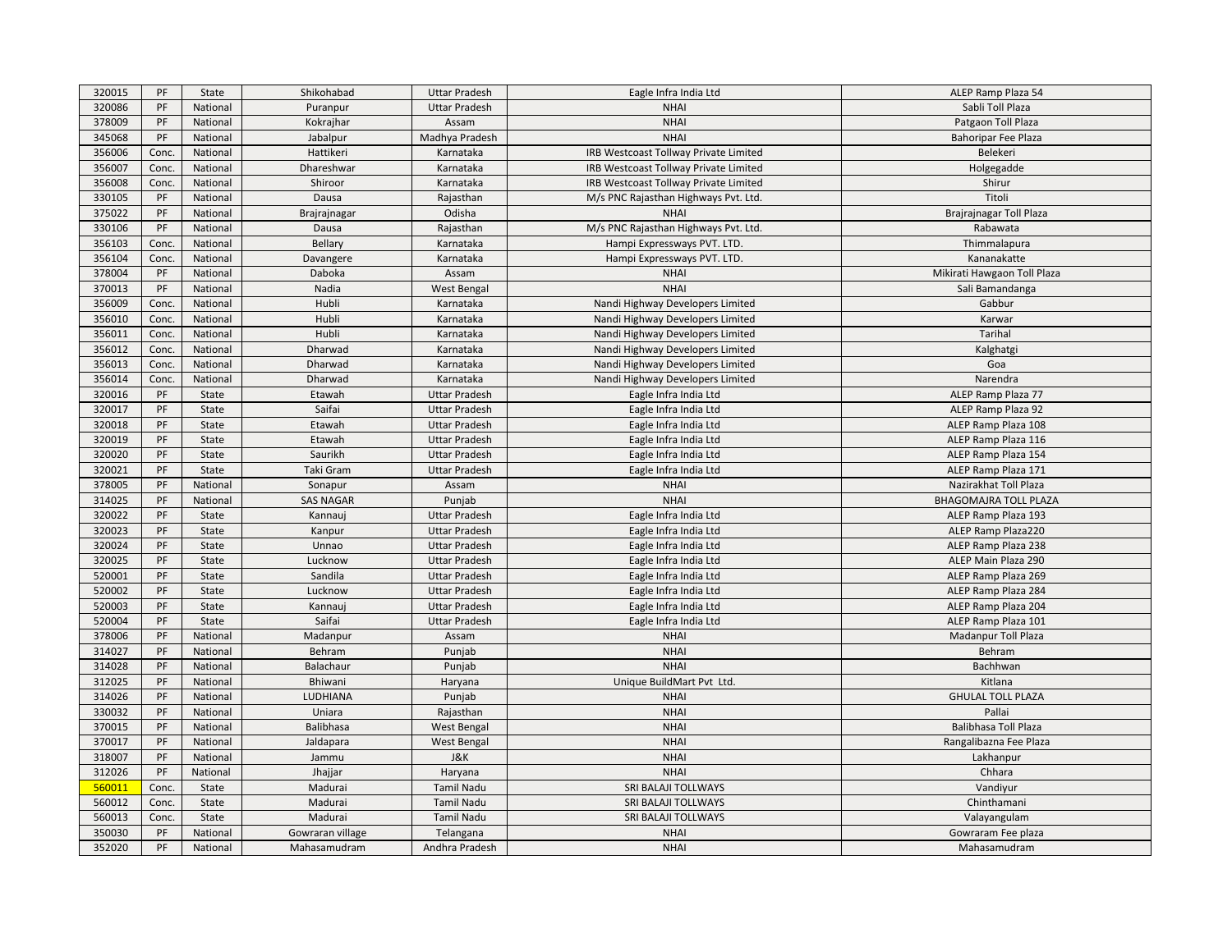| 320015 | PF    | State    | Shikohabad       | <b>Uttar Pradesh</b> | Eagle Infra India Ltd                        | ALEP Ramp Plaza 54           |
|--------|-------|----------|------------------|----------------------|----------------------------------------------|------------------------------|
| 320086 | PF    | National | Puranpur         | <b>Uttar Pradesh</b> | <b>NHAI</b>                                  | Sabli Toll Plaza             |
| 378009 | PF    | National | Kokrajhar        | Assam                | <b>NHAI</b>                                  | Patgaon Toll Plaza           |
| 345068 | PF    | National | Jabalpur         | Madhya Pradesh       | <b>NHAI</b>                                  | <b>Bahoripar Fee Plaza</b>   |
| 356006 | Conc. | National | Hattikeri        | Karnataka            | IRB Westcoast Tollway Private Limited        | Belekeri                     |
| 356007 | Conc. | National | Dhareshwar       | Karnataka            | IRB Westcoast Tollway Private Limited        | Holgegadde                   |
| 356008 | Conc. | National | Shiroor          | Karnataka            | <b>IRB Westcoast Tollway Private Limited</b> | Shirur                       |
| 330105 | PF    | National | Dausa            | Rajasthan            | M/s PNC Rajasthan Highways Pvt. Ltd.         | Titoli                       |
| 375022 | PF    | National | Brajrajnagar     | Odisha               | <b>NHAI</b>                                  | Brajrajnagar Toll Plaza      |
| 330106 | PF    | National | Dausa            | Rajasthan            | M/s PNC Rajasthan Highways Pvt. Ltd.         | Rabawata                     |
| 356103 | Conc. | National | Bellary          | Karnataka            | Hampi Expressways PVT. LTD.                  | Thimmalapura                 |
| 356104 | Conc. | National | Davangere        | Karnataka            | Hampi Expressways PVT. LTD.                  | Kananakatte                  |
| 378004 | PF    | National | Daboka           | Assam                | <b>NHAI</b>                                  | Mikirati Hawgaon Toll Plaza  |
| 370013 | PF    | National | Nadia            | <b>West Bengal</b>   | <b>NHAI</b>                                  | Sali Bamandanga              |
| 356009 | Conc. | National | Hubli            | Karnataka            | Nandi Highway Developers Limited             | Gabbur                       |
| 356010 | Conc. | National | Hubli            | Karnataka            | Nandi Highway Developers Limited             | Karwar                       |
| 356011 | Conc. | National | Hubli            | Karnataka            | Nandi Highway Developers Limited             | Tarihal                      |
| 356012 | Conc. | National | Dharwad          | Karnataka            | Nandi Highway Developers Limited             | Kalghatgi                    |
| 356013 | Conc. | National | Dharwad          | Karnataka            | Nandi Highway Developers Limited             | Goa                          |
| 356014 | Conc. | National | Dharwad          | Karnataka            | Nandi Highway Developers Limited             | Narendra                     |
| 320016 | PF    | State    | Etawah           | <b>Uttar Pradesh</b> | Eagle Infra India Ltd                        | ALEP Ramp Plaza 77           |
| 320017 | PF    | State    | Saifai           | <b>Uttar Pradesh</b> | Eagle Infra India Ltd                        | ALEP Ramp Plaza 92           |
| 320018 | PF    | State    | Etawah           | <b>Uttar Pradesh</b> | Eagle Infra India Ltd                        | ALEP Ramp Plaza 108          |
| 320019 | PF    | State    | Etawah           | <b>Uttar Pradesh</b> | Eagle Infra India Ltd                        | ALEP Ramp Plaza 116          |
| 320020 | PF    | State    | Saurikh          | <b>Uttar Pradesh</b> | Eagle Infra India Ltd                        | ALEP Ramp Plaza 154          |
| 320021 | PF    | State    | Taki Gram        | <b>Uttar Pradesh</b> | Eagle Infra India Ltd                        | ALEP Ramp Plaza 171          |
| 378005 | PF    | National | Sonapur          | Assam                | <b>NHAI</b>                                  | Nazirakhat Toll Plaza        |
| 314025 | PF    | National | <b>SAS NAGAR</b> | Punjab               | <b>NHAI</b>                                  | <b>BHAGOMAJRA TOLL PLAZA</b> |
| 320022 | PF    | State    | Kannauj          | <b>Uttar Pradesh</b> | Eagle Infra India Ltd                        | ALEP Ramp Plaza 193          |
| 320023 | PF    | State    | Kanpur           | <b>Uttar Pradesh</b> | Eagle Infra India Ltd                        | ALEP Ramp Plaza220           |
| 320024 | PF    | State    | Unnao            | <b>Uttar Pradesh</b> | Eagle Infra India Ltd                        | ALEP Ramp Plaza 238          |
| 320025 | PF    | State    | Lucknow          | <b>Uttar Pradesh</b> | Eagle Infra India Ltd                        | ALEP Main Plaza 290          |
| 520001 | PF    | State    | Sandila          | <b>Uttar Pradesh</b> | Eagle Infra India Ltd                        | ALEP Ramp Plaza 269          |
| 520002 | PF    | State    | Lucknow          | <b>Uttar Pradesh</b> | Eagle Infra India Ltd                        | ALEP Ramp Plaza 284          |
| 520003 | PF    | State    | Kannauj          | <b>Uttar Pradesh</b> | Eagle Infra India Ltd                        | ALEP Ramp Plaza 204          |
| 520004 | PF    | State    | Saifai           | <b>Uttar Pradesh</b> | Eagle Infra India Ltd                        | ALEP Ramp Plaza 101          |
| 378006 | PF    | National | Madanpur         | Assam                | <b>NHAI</b>                                  | Madanpur Toll Plaza          |
| 314027 | PF    | National | Behram           | Punjab               | <b>NHAI</b>                                  | Behram                       |
| 314028 | PF    | National | Balachaur        | Punjab               | <b>NHAI</b>                                  | Bachhwan                     |
| 312025 | PF    | National | Bhiwani          | Haryana              | Unique BuildMart Pvt Ltd.                    | Kitlana                      |
| 314026 | PF    | National | LUDHIANA         | Punjab               | <b>NHAI</b>                                  | <b>GHULAL TOLL PLAZA</b>     |
| 330032 | PF    | National | Uniara           | Rajasthan            | <b>NHAI</b>                                  | Pallai                       |
| 370015 | PF    | National | Balibhasa        | <b>West Bengal</b>   | <b>NHAI</b>                                  | Balibhasa Toll Plaza         |
| 370017 | PF    | National | Jaldapara        | <b>West Bengal</b>   | <b>NHAI</b>                                  | Rangalibazna Fee Plaza       |
| 318007 | PF    | National | Jammu            | J&K                  | <b>NHAI</b>                                  | Lakhanpur                    |
| 312026 | PF    | National | Jhajjar          | Haryana              | <b>NHAI</b>                                  | Chhara                       |
| 560011 | Conc. | State    | Madurai          | Tamil Nadu           | SRI BALAJI TOLLWAYS                          | Vandiyur                     |
| 560012 | Conc. | State    | Madurai          | <b>Tamil Nadu</b>    | SRI BALAJI TOLLWAYS                          | Chinthamani                  |
| 560013 | Conc. | State    | Madurai          | Tamil Nadu           | SRI BALAJI TOLLWAYS                          | Valayangulam                 |
| 350030 | PF    | National | Gowraran village | Telangana            | <b>NHAI</b>                                  | Gowraram Fee plaza           |
| 352020 | PF    | National | Mahasamudram     | Andhra Pradesh       | <b>NHAI</b>                                  | Mahasamudram                 |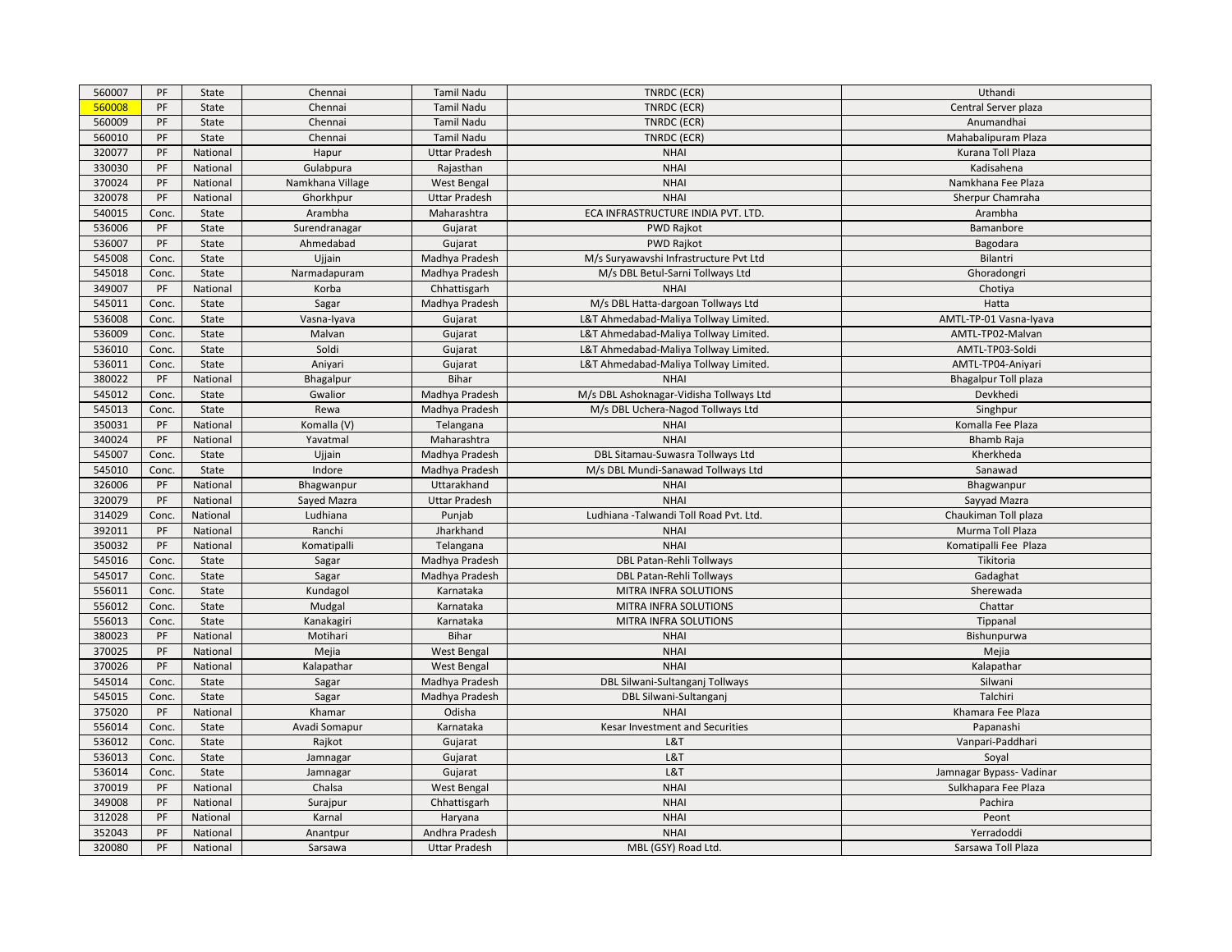| 560007 | PF    | State    | Chennai          | Tamil Nadu           | TNRDC (ECR)                             | Uthandi                     |
|--------|-------|----------|------------------|----------------------|-----------------------------------------|-----------------------------|
| 560008 | PF    | State    | Chennai          | <b>Tamil Nadu</b>    | TNRDC (ECR)                             | Central Server plaza        |
| 560009 | PF    | State    | Chennai          | Tamil Nadu           | TNRDC (ECR)                             | Anumandhai                  |
| 560010 | PF    | State    | Chennai          | Tamil Nadu           | TNRDC (ECR)                             | Mahabalipuram Plaza         |
| 320077 | PF    | National | Hapur            | <b>Uttar Pradesh</b> | <b>NHAI</b>                             | Kurana Toll Plaza           |
| 330030 | PF    | National | Gulabpura        | Rajasthan            | <b>NHAI</b>                             | Kadisahena                  |
| 370024 | PF    | National | Namkhana Village | <b>West Bengal</b>   | <b>NHAI</b>                             | Namkhana Fee Plaza          |
| 320078 | PF    | National | Ghorkhpur        | <b>Uttar Pradesh</b> | <b>NHAI</b>                             | Sherpur Chamraha            |
| 540015 | Conc. | State    | Arambha          | Maharashtra          | ECA INFRASTRUCTURE INDIA PVT. LTD.      | Arambha                     |
| 536006 | PF    | State    | Surendranagar    | Gujarat              | <b>PWD Rajkot</b>                       | Bamanbore                   |
| 536007 | PF    | State    | Ahmedabad        | Gujarat              | <b>PWD Rajkot</b>                       | Bagodara                    |
| 545008 | Conc. | State    | Ujjain           | Madhya Pradesh       | M/s Suryawavshi Infrastructure Pvt Ltd  | Bilantri                    |
| 545018 | Conc. | State    | Narmadapuram     | Madhya Pradesh       | M/s DBL Betul-Sarni Tollways Ltd        | Ghoradongri                 |
| 349007 | PF    | National | Korba            | Chhattisgarh         | <b>NHAI</b>                             | Chotiya                     |
| 545011 | Conc. | State    | Sagar            | Madhya Pradesh       | M/s DBL Hatta-dargoan Tollways Ltd      | Hatta                       |
| 536008 | Conc. | State    | Vasna-Iyava      | Gujarat              | L&T Ahmedabad-Maliya Tollway Limited.   | AMTL-TP-01 Vasna-Iyava      |
| 536009 | Conc. | State    | Malvan           | Gujarat              | L&T Ahmedabad-Maliya Tollway Limited.   | AMTL-TP02-Malvan            |
| 536010 | Conc. | State    | Soldi            | Gujarat              | L&T Ahmedabad-Maliya Tollway Limited.   | AMTL-TP03-Soldi             |
| 536011 | Conc. | State    | Aniyari          | Gujarat              | L&T Ahmedabad-Maliya Tollway Limited.   | AMTL-TP04-Aniyari           |
| 380022 | PF    | National | Bhagalpur        | Bihar                | <b>NHAI</b>                             | <b>Bhagalpur Toll plaza</b> |
| 545012 | Conc. | State    | Gwalior          | Madhya Pradesh       | M/s DBL Ashoknagar-Vidisha Tollways Ltd | Devkhedi                    |
| 545013 | Conc. | State    | Rewa             | Madhya Pradesh       | M/s DBL Uchera-Nagod Tollways Ltd       | Singhpur                    |
| 350031 | PF    | National | Komalla (V)      | Telangana            | <b>NHAI</b>                             | Komalla Fee Plaza           |
| 340024 | PF    | National | Yavatmal         | Maharashtra          | <b>NHAI</b>                             | <b>Bhamb Raja</b>           |
| 545007 | Conc. | State    | Ujjain           | Madhya Pradesh       | DBL Sitamau-Suwasra Tollways Ltd        | Kherkheda                   |
| 545010 | Conc. | State    | Indore           | Madhya Pradesh       | M/s DBL Mundi-Sanawad Tollways Ltd      | Sanawad                     |
| 326006 | PF    | National | Bhagwanpur       | Uttarakhand          | <b>NHAI</b>                             | Bhagwanpur                  |
| 320079 | PF    | National | Sayed Mazra      | <b>Uttar Pradesh</b> | <b>NHAI</b>                             | Sayyad Mazra                |
| 314029 | Conc. | National | Ludhiana         | Punjab               | Ludhiana - Talwandi Toll Road Pvt. Ltd. | Chaukiman Toll plaza        |
| 392011 | PF    | National | Ranchi           | Jharkhand            | <b>NHAI</b>                             | Murma Toll Plaza            |
| 350032 | PF    | National | Komatipalli      | Telangana            | <b>NHAI</b>                             | Komatipalli Fee Plaza       |
| 545016 | Conc. | State    | Sagar            | Madhya Pradesh       | DBL Patan-Rehli Tollways                | Tikitoria                   |
| 545017 | Conc. | State    | Sagar            | Madhya Pradesh       | DBL Patan-Rehli Tollways                | Gadaghat                    |
| 556011 | Conc. | State    | Kundagol         | Karnataka            | MITRA INFRA SOLUTIONS                   | Sherewada                   |
| 556012 | Conc. | State    | Mudgal           | Karnataka            | MITRA INFRA SOLUTIONS                   | Chattar                     |
| 556013 | Conc. | State    | Kanakagiri       | Karnataka            | MITRA INFRA SOLUTIONS                   | Tippanal                    |
| 380023 | PF    | National | Motihari         | <b>Bihar</b>         | <b>NHAI</b>                             | Bishunpurwa                 |
| 370025 | PF    | National | Mejia            | West Bengal          | <b>NHAI</b>                             | Mejia                       |
| 370026 | PF    | National | Kalapathar       | West Bengal          | <b>NHAI</b>                             | Kalapathar                  |
| 545014 | Conc. | State    | Sagar            | Madhya Pradesh       | DBL Silwani-Sultanganj Tollways         | Silwani                     |
| 545015 | Conc. | State    | Sagar            | Madhya Pradesh       | DBL Silwani-Sultanganj                  | Talchiri                    |
| 375020 | PF    | National | Khamar           | Odisha               | <b>NHAI</b>                             | Khamara Fee Plaza           |
| 556014 | Conc. | State    | Avadi Somapur    | Karnataka            | Kesar Investment and Securities         | Papanashi                   |
| 536012 | Conc. | State    | Rajkot           | Gujarat              | L&T                                     | Vanpari-Paddhari            |
| 536013 | Conc. | State    | Jamnagar         | Gujarat              | L&T                                     | Soyal                       |
| 536014 | Conc. | State    | Jamnagar         | Gujarat              | L&T                                     | Jamnagar Bypass- Vadinar    |
| 370019 | PF    | National | Chalsa           | West Bengal          | <b>NHAI</b>                             | Sulkhapara Fee Plaza        |
| 349008 | PF    | National | Surajpur         | Chhattisgarh         | <b>NHAI</b>                             | Pachira                     |
| 312028 | PF    | National | Karnal           | Haryana              | <b>NHAI</b>                             | Peont                       |
| 352043 | PF    | National | Anantpur         | Andhra Pradesh       | <b>NHAI</b>                             | Yerradoddi                  |
| 320080 | PF    | National | Sarsawa          | <b>Uttar Pradesh</b> | MBL (GSY) Road Ltd.                     | Sarsawa Toll Plaza          |
|        |       |          |                  |                      |                                         |                             |